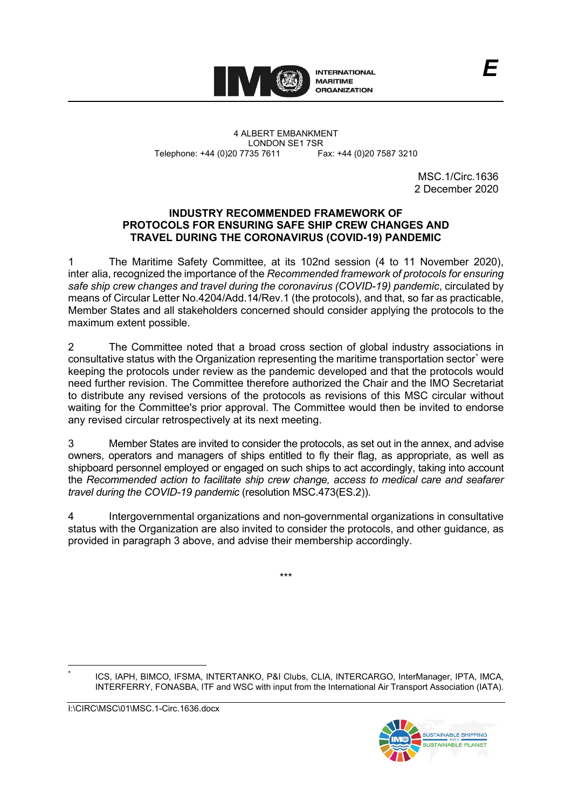

4 ALBERT EMBANKMENT Telephone: +44 (0)20 7735 7611

LONDON SE1 7SR<br>735 7611 Fax: +44 (0)20 7587 3210

MSC.1/Circ.1636 2 December 2020

### **INDUSTRY RECOMMENDED FRAMEWORK OF PROTOCOLS FOR ENSURING SAFE SHIP CREW CHANGES AND TRAVEL DURING THE CORONAVIRUS (COVID-19) PANDEMIC**

1 The Maritime Safety Committee, at its 102nd session (4 to 11 November 2020), inter alia, recognized the importance of the *Recommended framework of protocols for ensuring safe ship crew changes and travel during the coronavirus (COVID-19) pandemic*, circulated by means of Circular Letter No.4204/Add.14/Rev.1 (the protocols), and that, so far as practicable, Member States and all stakeholders concerned should consider applying the protocols to the maximum extent possible.

2 The Committee noted that a broad cross section of global industry associations in consultative status with the Organization representing the maritime transportation sector[\\*](#page-0-0) were keeping the protocols under review as the pandemic developed and that the protocols would need further revision. The Committee therefore authorized the Chair and the IMO Secretariat to distribute any revised versions of the protocols as revisions of this MSC circular without waiting for the Committee's prior approval. The Committee would then be invited to endorse any revised circular retrospectively at its next meeting.

3 Member States are invited to consider the protocols, as set out in the annex, and advise owners, operators and managers of ships entitled to fly their flag, as appropriate, as well as shipboard personnel employed or engaged on such ships to act accordingly, taking into account the *Recommended action to facilitate ship crew change, access to medical care and seafarer travel during the COVID-19 pandemic* (resolution MSC.473(ES.2)).

4 Intergovernmental organizations and non-governmental organizations in consultative status with the Organization are also invited to consider the protocols, and other guidance, as provided in paragraph 3 above, and advise their membership accordingly.

\*\*\*

ICS, IAPH, BIMCO, IFSMA, INTERTANKO, P&I Clubs, CLIA, INTERCARGO, InterManager, IPTA, IMCA, INTERFERRY, FONASBA, ITF and WSC with input from the International Air Transport Association (IATA).

<span id="page-0-0"></span>I:\CIRC\MSC\01\MSC.1-Circ.1636.docx

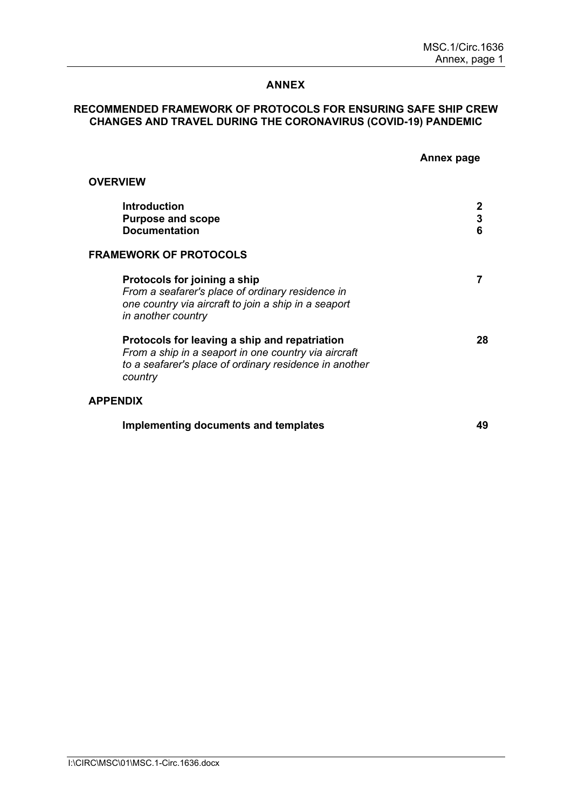### **ANNEX**

### **RECOMMENDED FRAMEWORK OF PROTOCOLS FOR ENSURING SAFE SHIP CREW CHANGES AND TRAVEL DURING THE CORONAVIRUS (COVID-19) PANDEMIC**

|                                                                                                                                                                            | Annex page |
|----------------------------------------------------------------------------------------------------------------------------------------------------------------------------|------------|
| <b>OVERVIEW</b>                                                                                                                                                            |            |
| <b>Introduction</b><br><b>Purpose and scope</b><br><b>Documentation</b>                                                                                                    | 3<br>6     |
| <b>FRAMEWORK OF PROTOCOLS</b>                                                                                                                                              |            |
| Protocols for joining a ship<br>From a seafarer's place of ordinary residence in<br>one country via aircraft to join a ship in a seaport<br>in another country             |            |
| Protocols for leaving a ship and repatriation<br>From a ship in a seaport in one country via aircraft<br>to a seafarer's place of ordinary residence in another<br>country | 28         |
| <b>APPENDIX</b>                                                                                                                                                            |            |
| Implementing documents and templates                                                                                                                                       | 49         |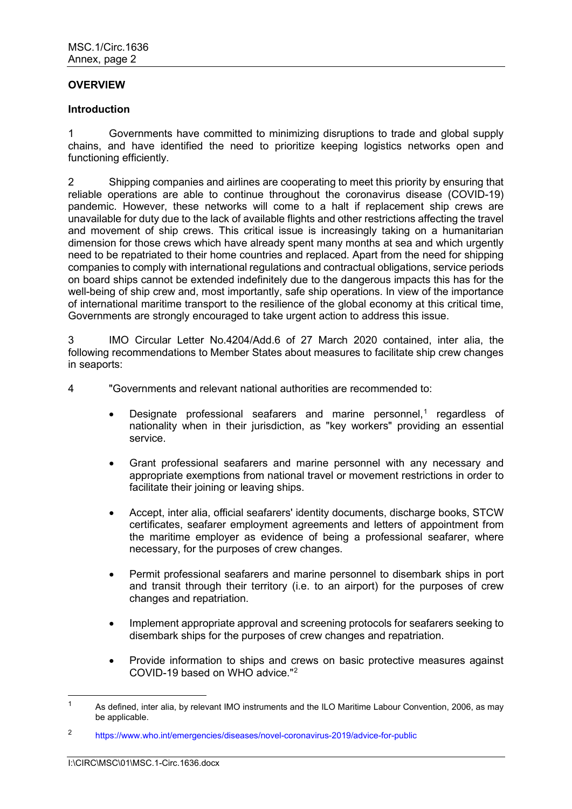### **OVERVIEW**

### **Introduction**

1 Governments have committed to minimizing disruptions to trade and global supply chains, and have identified the need to prioritize keeping logistics networks open and functioning efficiently.

2 Shipping companies and airlines are cooperating to meet this priority by ensuring that reliable operations are able to continue throughout the coronavirus disease (COVID-19) pandemic. However, these networks will come to a halt if replacement ship crews are unavailable for duty due to the lack of available flights and other restrictions affecting the travel and movement of ship crews. This critical issue is increasingly taking on a humanitarian dimension for those crews which have already spent many months at sea and which urgently need to be repatriated to their home countries and replaced. Apart from the need for shipping companies to comply with international regulations and contractual obligations, service periods on board ships cannot be extended indefinitely due to the dangerous impacts this has for the well-being of ship crew and, most importantly, safe ship operations. In view of the importance of international maritime transport to the resilience of the global economy at this critical time, Governments are strongly encouraged to take urgent action to address this issue.

3 IMO Circular Letter No.4204/Add.6 of 27 March 2020 contained, inter alia, the following recommendations to Member States about measures to facilitate ship crew changes in seaports:

4 "Governments and relevant national authorities are recommended to:

- Designate professional seafarers and marine personnel,<sup>[1](#page-3-0)</sup> regardless of nationality when in their jurisdiction, as "key workers" providing an essential service.
- Grant professional seafarers and marine personnel with any necessary and appropriate exemptions from national travel or movement restrictions in order to facilitate their joining or leaving ships.
- Accept, inter alia, official seafarers' identity documents, discharge books, STCW certificates, seafarer employment agreements and letters of appointment from the maritime employer as evidence of being a professional seafarer, where necessary, for the purposes of crew changes.
- Permit professional seafarers and marine personnel to disembark ships in port and transit through their territory (i.e. to an airport) for the purposes of crew changes and repatriation.
- Implement appropriate approval and screening protocols for seafarers seeking to disembark ships for the purposes of crew changes and repatriation.
- Provide information to ships and crews on basic protective measures against COVID-19 based on WHO advice."[2](#page-3-1)

<span id="page-3-0"></span><sup>&</sup>lt;sup>1</sup> As defined, inter alia, by relevant IMO instruments and the ILO Maritime Labour Convention, 2006, as may be applicable.

<span id="page-3-1"></span><sup>2</sup> <https://www.who.int/emergencies/diseases/novel-coronavirus-2019/advice-for-public>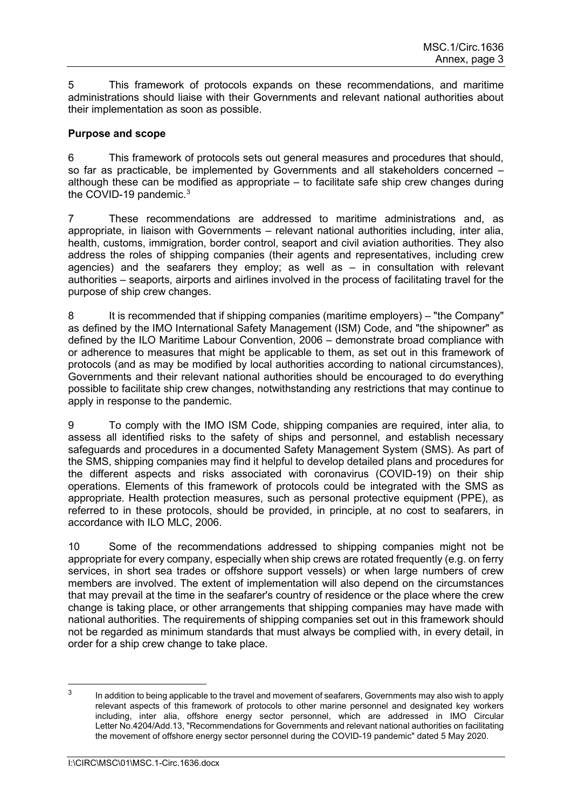5 This framework of protocols expands on these recommendations, and maritime administrations should liaise with their Governments and relevant national authorities about their implementation as soon as possible.

### **Purpose and scope**

6 This framework of protocols sets out general measures and procedures that should, so far as practicable, be implemented by Governments and all stakeholders concerned – although these can be modified as appropriate – to facilitate safe ship crew changes during the COVID-19 pandemic. $3$ 

7 These recommendations are addressed to maritime administrations and, as appropriate, in liaison with Governments – relevant national authorities including, inter alia, health, customs, immigration, border control, seaport and civil aviation authorities. They also address the roles of shipping companies (their agents and representatives, including crew agencies) and the seafarers they employ; as well as – in consultation with relevant authorities – seaports, airports and airlines involved in the process of facilitating travel for the purpose of ship crew changes.

8 It is recommended that if shipping companies (maritime employers) – "the Company" as defined by the IMO International Safety Management (ISM) Code, and "the shipowner" as defined by the ILO Maritime Labour Convention, 2006 – demonstrate broad compliance with or adherence to measures that might be applicable to them, as set out in this framework of protocols (and as may be modified by local authorities according to national circumstances), Governments and their relevant national authorities should be encouraged to do everything possible to facilitate ship crew changes, notwithstanding any restrictions that may continue to apply in response to the pandemic.

9 To comply with the IMO ISM Code, shipping companies are required, inter alia*,* to assess all identified risks to the safety of ships and personnel, and establish necessary safeguards and procedures in a documented Safety Management System (SMS). As part of the SMS, shipping companies may find it helpful to develop detailed plans and procedures for the different aspects and risks associated with coronavirus (COVID-19) on their ship operations. Elements of this framework of protocols could be integrated with the SMS as appropriate. Health protection measures, such as personal protective equipment (PPE), as referred to in these protocols, should be provided, in principle, at no cost to seafarers, in accordance with ILO MLC, 2006.

10 Some of the recommendations addressed to shipping companies might not be appropriate for every company, especially when ship crews are rotated frequently (e.g. on ferry services, in short sea trades or offshore support vessels) or when large numbers of crew members are involved. The extent of implementation will also depend on the circumstances that may prevail at the time in the seafarer's country of residence or the place where the crew change is taking place, or other arrangements that shipping companies may have made with national authorities. The requirements of shipping companies set out in this framework should not be regarded as minimum standards that must always be complied with, in every detail, in order for a ship crew change to take place.

<span id="page-4-0"></span> $3$  In addition to being applicable to the travel and movement of seafarers, Governments may also wish to apply relevant aspects of this framework of protocols to other marine personnel and designated key workers including, inter alia, offshore energy sector personnel, which are addressed in IMO Circular Letter No.4204/Add.13, "Recommendations for Governments and relevant national authorities on facilitating the movement of offshore energy sector personnel during the COVID-19 pandemic" dated 5 May 2020.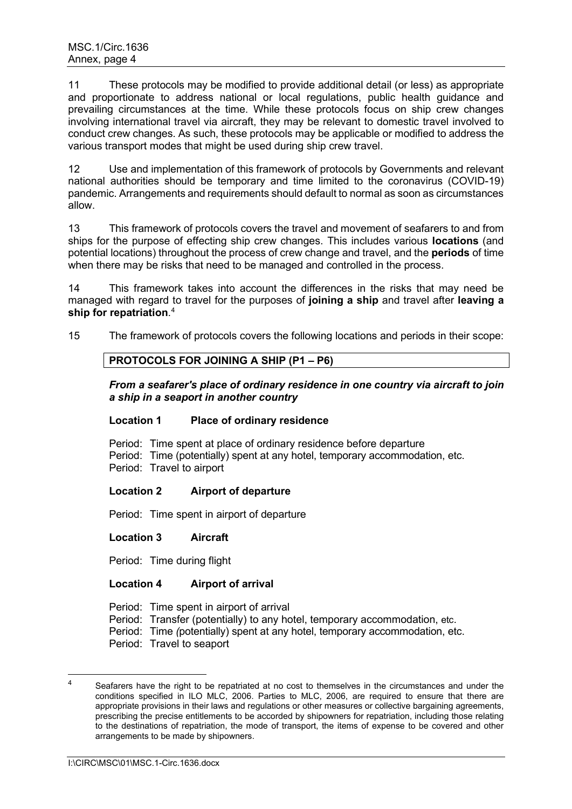11 These protocols may be modified to provide additional detail (or less) as appropriate and proportionate to address national or local regulations, public health guidance and prevailing circumstances at the time. While these protocols focus on ship crew changes involving international travel via aircraft, they may be relevant to domestic travel involved to conduct crew changes. As such, these protocols may be applicable or modified to address the various transport modes that might be used during ship crew travel.

12 Use and implementation of this framework of protocols by Governments and relevant national authorities should be temporary and time limited to the coronavirus (COVID-19) pandemic. Arrangements and requirements should default to normal as soon as circumstances allow.

13 This framework of protocols covers the travel and movement of seafarers to and from ships for the purpose of effecting ship crew changes. This includes various **locations** (and potential locations) throughout the process of crew change and travel, and the **periods** of time when there may be risks that need to be managed and controlled in the process.

14 This framework takes into account the differences in the risks that may need be managed with regard to travel for the purposes of **joining a ship** and travel after **leaving a ship for repatriation**. [4](#page-5-0)

15 The framework of protocols covers the following locations and periods in their scope:

### **PROTOCOLS FOR JOINING A SHIP (P1 – P6)**

*From a seafarer's place of ordinary residence in one country via aircraft to join a ship in a seaport in another country*

### **Location 1 Place of ordinary residence**

Period: Time spent at place of ordinary residence before departure Period: Time (potentially) spent at any hotel, temporary accommodation, etc. Period: Travel to airport

### **Location 2 Airport of departure**

Period: Time spent in airport of departure

### **Location 3 Aircraft**

Period: Time during flight

### **Location 4 Airport of arrival**

Period: Time spent in airport of arrival

Period: Transfer (potentially) to any hotel, temporary accommodation, etc.

Period: Time *(*potentially) spent at any hotel, temporary accommodation, etc.

Period: Travel to seaport

<span id="page-5-0"></span>Seafarers have the right to be repatriated at no cost to themselves in the circumstances and under the conditions specified in ILO MLC, 2006. Parties to MLC, 2006, are required to ensure that there are appropriate provisions in their laws and regulations or other measures or collective bargaining agreements, prescribing the precise entitlements to be accorded by shipowners for repatriation, including those relating to the destinations of repatriation, the mode of transport, the items of expense to be covered and other arrangements to be made by shipowners.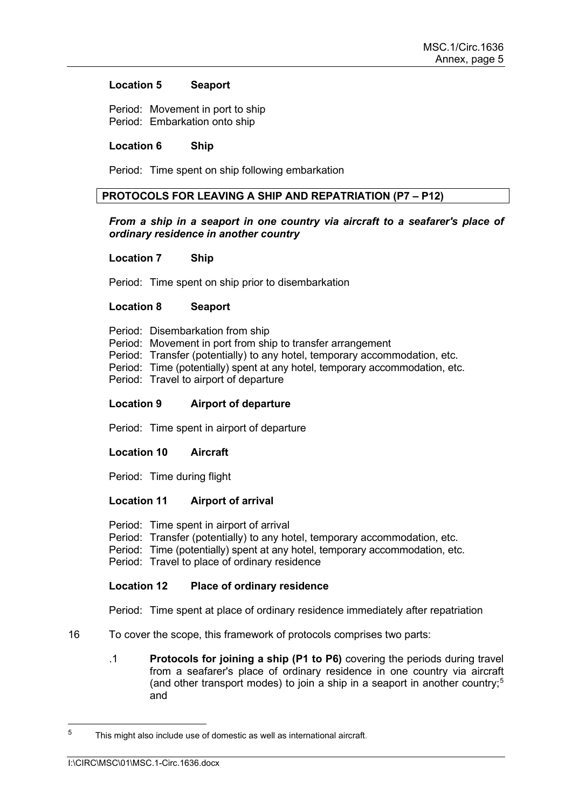#### **Location 5 Seaport**

Period: Movement in port to ship Period: Embarkation onto ship

### **Location 6 Ship**

Period: Time spent on ship following embarkation

### **PROTOCOLS FOR LEAVING A SHIP AND REPATRIATION (P7 – P12)**

### *From a ship in a seaport in one country via aircraft to a seafarer's place of ordinary residence in another country*

### **Location 7 Ship**

Period: Time spent on ship prior to disembarkation

### **Location 8 Seaport**

Period: Disembarkation from ship

Period: Movement in port from ship to transfer arrangement

Period: Transfer (potentially) to any hotel, temporary accommodation, etc.

Period: Time (potentially) spent at any hotel, temporary accommodation, etc.

Period: Travel to airport of departure

### **Location 9 Airport of departure**

Period: Time spent in airport of departure

### **Location 10 Aircraft**

Period: Time during flight

### **Location 11 Airport of arrival**

Period: Time spent in airport of arrival Period: Transfer (potentially) to any hotel, temporary accommodation, etc. Period: Time (potentially) spent at any hotel, temporary accommodation, etc. Period: Travel to place of ordinary residence

### **Location 12 Place of ordinary residence**

Period: Time spent at place of ordinary residence immediately after repatriation

- 16 To cover the scope, this framework of protocols comprises two parts:
	- .1 **Protocols for joining a ship (P1 to P6)** covering the periods during travel from a seafarer's place of ordinary residence in one country via aircraft (and other transport modes) to join a ship in a seaport in another country;[5](#page-6-0) and

<span id="page-6-0"></span> $5$  This might also include use of domestic as well as international aircraft.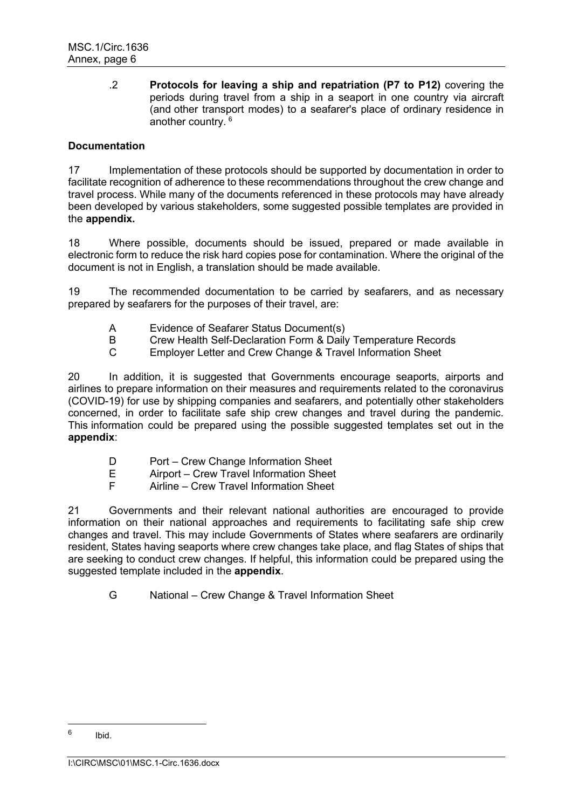.2 **Protocols for leaving a ship and repatriation (P7 to P12)** covering the periods during travel from a ship in a seaport in one country via aircraft (and other transport modes) to a seafarer's place of ordinary residence in another country. [6](#page-7-0)

### **Documentation**

17 Implementation of these protocols should be supported by documentation in order to facilitate recognition of adherence to these recommendations throughout the crew change and travel process. While many of the documents referenced in these protocols may have already been developed by various stakeholders, some suggested possible templates are provided in the **appendix.**

18 Where possible, documents should be issued, prepared or made available in electronic form to reduce the risk hard copies pose for contamination. Where the original of the document is not in English, a translation should be made available.

19 The recommended documentation to be carried by seafarers, and as necessary prepared by seafarers for the purposes of their travel, are:

- A Evidence of Seafarer Status Document(s)<br>B Crew Health Self-Declaration Form & Daily
- B Crew Health Self-Declaration Form & Daily Temperature Records<br>C Fmplover Letter and Crew Change & Travel Information Sheet
- Employer Letter and Crew Change & Travel Information Sheet

20 In addition, it is suggested that Governments encourage seaports, airports and airlines to prepare information on their measures and requirements related to the coronavirus (COVID-19) for use by shipping companies and seafarers, and potentially other stakeholders concerned, in order to facilitate safe ship crew changes and travel during the pandemic. This information could be prepared using the possible suggested templates set out in the **appendix**:

- D Port Crew Change Information Sheet<br>E Airport Crew Travel Information Sheet
- Airport Crew Travel Information Sheet
- F Airline Crew Travel Information Sheet

21 Governments and their relevant national authorities are encouraged to provide information on their national approaches and requirements to facilitating safe ship crew changes and travel. This may include Governments of States where seafarers are ordinarily resident, States having seaports where crew changes take place, and flag States of ships that are seeking to conduct crew changes. If helpful, this information could be prepared using the suggested template included in the **appendix**.

G National – Crew Change & Travel Information Sheet

<span id="page-7-0"></span> $6$  Ibid.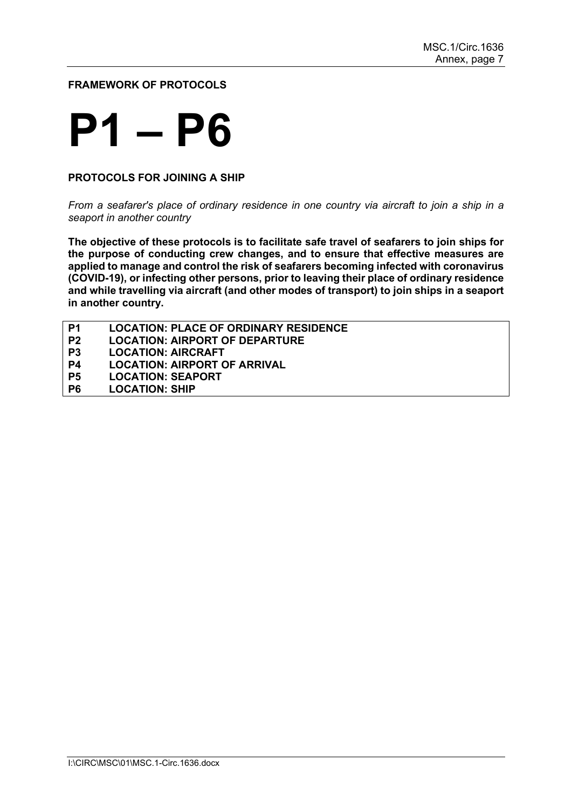**FRAMEWORK OF PROTOCOLS**

## **P1 – P6**

### **PROTOCOLS FOR JOINING A SHIP**

*From a seafarer's place of ordinary residence in one country via aircraft to join a ship in a seaport in another country*

**The objective of these protocols is to facilitate safe travel of seafarers to join ships for the purpose of conducting crew changes, and to ensure that effective measures are applied to manage and control the risk of seafarers becoming infected with coronavirus (COVID-19), or infecting other persons, prior to leaving their place of ordinary residence and while travelling via aircraft (and other modes of transport) to join ships in a seaport in another country.**

| P1             | <b>LOCATION: PLACE OF ORDINARY RESIDENCE</b> |
|----------------|----------------------------------------------|
| P <sub>2</sub> | <b>LOCATION: AIRPORT OF DEPARTURE</b>        |
| P3             | <b>LOCATION: AIRCRAFT</b>                    |
| P4             | <b>LOCATION: AIRPORT OF ARRIVAL</b>          |
| <b>P5</b>      | <b>LOCATION: SEAPORT</b>                     |
| P6             | <b>LOCATION: SHIP</b>                        |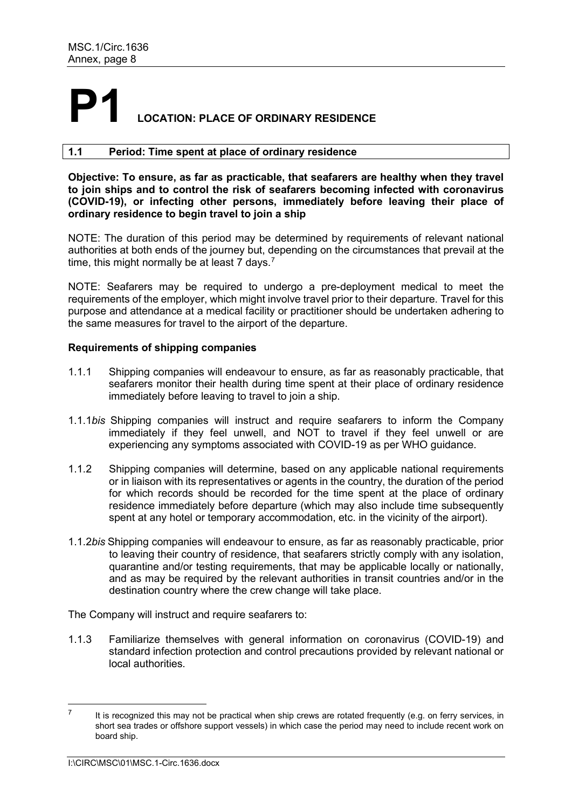## **LOCATION: PLACE OF ORDINARY RESIDENCE**

### **1.1 Period: Time spent at place of ordinary residence**

**Objective: To ensure, as far as practicable, that seafarers are healthy when they travel to join ships and to control the risk of seafarers becoming infected with coronavirus (COVID-19), or infecting other persons, immediately before leaving their place of ordinary residence to begin travel to join a ship**

NOTE: The duration of this period may be determined by requirements of relevant national authorities at both ends of the journey but, depending on the circumstances that prevail at the time, this might normally be at least [7](#page-9-0) days.<sup>7</sup>

NOTE: Seafarers may be required to undergo a pre-deployment medical to meet the requirements of the employer, which might involve travel prior to their departure. Travel for this purpose and attendance at a medical facility or practitioner should be undertaken adhering to the same measures for travel to the airport of the departure.

### **Requirements of shipping companies**

- 1.1.1 Shipping companies will endeavour to ensure, as far as reasonably practicable, that seafarers monitor their health during time spent at their place of ordinary residence immediately before leaving to travel to join a ship.
- 1.1.1*bis* Shipping companies will instruct and require seafarers to inform the Company immediately if they feel unwell, and NOT to travel if they feel unwell or are experiencing any symptoms associated with COVID-19 as per WHO guidance.
- 1.1.2 Shipping companies will determine, based on any applicable national requirements or in liaison with its representatives or agents in the country, the duration of the period for which records should be recorded for the time spent at the place of ordinary residence immediately before departure (which may also include time subsequently spent at any hotel or temporary accommodation, etc. in the vicinity of the airport).
- 1.1.2*bis* Shipping companies will endeavour to ensure, as far as reasonably practicable, prior to leaving their country of residence, that seafarers strictly comply with any isolation, quarantine and/or testing requirements, that may be applicable locally or nationally, and as may be required by the relevant authorities in transit countries and/or in the destination country where the crew change will take place.

The Company will instruct and require seafarers to:

1.1.3 Familiarize themselves with general information on coronavirus (COVID-19) and standard infection protection and control precautions provided by relevant national or local authorities.

<span id="page-9-0"></span> $7$  It is recognized this may not be practical when ship crews are rotated frequently (e.g. on ferry services, in short sea trades or offshore support vessels) in which case the period may need to include recent work on board ship.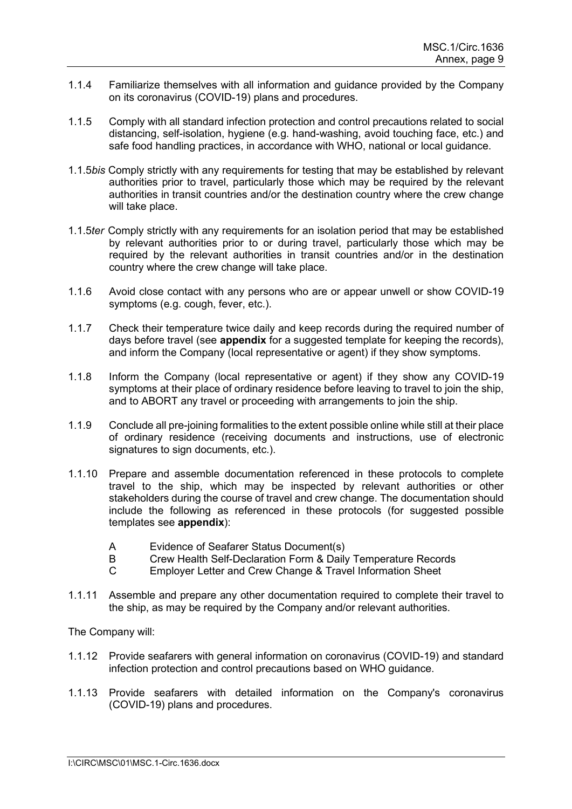- 1.1.4 Familiarize themselves with all information and guidance provided by the Company on its coronavirus (COVID-19) plans and procedures.
- 1.1.5 Comply with all standard infection protection and control precautions related to social distancing, self-isolation, hygiene (e.g. hand-washing, avoid touching face, etc.) and safe food handling practices, in accordance with WHO, national or local guidance.
- 1.1.5*bis* Comply strictly with any requirements for testing that may be established by relevant authorities prior to travel, particularly those which may be required by the relevant authorities in transit countries and/or the destination country where the crew change will take place.
- 1.1.5*ter* Comply strictly with any requirements for an isolation period that may be established by relevant authorities prior to or during travel, particularly those which may be required by the relevant authorities in transit countries and/or in the destination country where the crew change will take place.
- 1.1.6 Avoid close contact with any persons who are or appear unwell or show COVID-19 symptoms (e.g. cough, fever, etc.).
- 1.1.7 Check their temperature twice daily and keep records during the required number of days before travel (see **appendix** for a suggested template for keeping the records), and inform the Company (local representative or agent) if they show symptoms.
- 1.1.8 Inform the Company (local representative or agent) if they show any COVID-19 symptoms at their place of ordinary residence before leaving to travel to join the ship, and to ABORT any travel or proceeding with arrangements to join the ship.
- 1.1.9 Conclude all pre-joining formalities to the extent possible online while still at their place of ordinary residence (receiving documents and instructions, use of electronic signatures to sign documents, etc.).
- 1.1.10 Prepare and assemble documentation referenced in these protocols to complete travel to the ship, which may be inspected by relevant authorities or other stakeholders during the course of travel and crew change. The documentation should include the following as referenced in these protocols (for suggested possible templates see **appendix**):
	- A Evidence of Seafarer Status Document(s)
	- B Crew Health Self-Declaration Form & Daily Temperature Records
	- C Employer Letter and Crew Change & Travel Information Sheet
- 1.1.11 Assemble and prepare any other documentation required to complete their travel to the ship, as may be required by the Company and/or relevant authorities.

The Company will:

- 1.1.12 Provide seafarers with general information on coronavirus (COVID-19) and standard infection protection and control precautions based on WHO guidance.
- 1.1.13 Provide seafarers with detailed information on the Company's coronavirus (COVID-19) plans and procedures.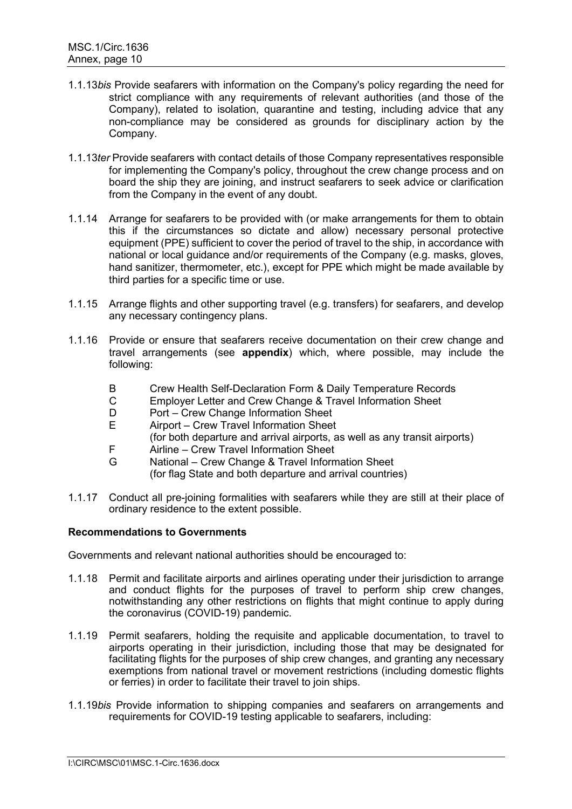- 1.1.13*bis* Provide seafarers with information on the Company's policy regarding the need for strict compliance with any requirements of relevant authorities (and those of the Company), related to isolation, quarantine and testing, including advice that any non-compliance may be considered as grounds for disciplinary action by the Company.
- 1.1.13*ter* Provide seafarers with contact details of those Company representatives responsible for implementing the Company's policy, throughout the crew change process and on board the ship they are joining, and instruct seafarers to seek advice or clarification from the Company in the event of any doubt.
- 1.1.14 Arrange for seafarers to be provided with (or make arrangements for them to obtain this if the circumstances so dictate and allow) necessary personal protective equipment (PPE) sufficient to cover the period of travel to the ship, in accordance with national or local guidance and/or requirements of the Company (e.g. masks, gloves, hand sanitizer, thermometer, etc.), except for PPE which might be made available by third parties for a specific time or use.
- 1.1.15 Arrange flights and other supporting travel (e.g. transfers) for seafarers, and develop any necessary contingency plans.
- 1.1.16 Provide or ensure that seafarers receive documentation on their crew change and travel arrangements (see **appendix**) which, where possible, may include the following:
	- B Crew Health Self-Declaration Form & Daily Temperature Records
	- C Employer Letter and Crew Change & Travel Information Sheet
	- D Port Crew Change Information Sheet<br>F Airport Crew Travel Information Sheet
	- Airport Crew Travel Information Sheet (for both departure and arrival airports, as well as any transit airports)
	- F Airline Crew Travel Information Sheet
	- G National Crew Change & Travel Information Sheet
		- (for flag State and both departure and arrival countries)
- 1.1.17 Conduct all pre-joining formalities with seafarers while they are still at their place of ordinary residence to the extent possible.

Governments and relevant national authorities should be encouraged to:

- 1.1.18 Permit and facilitate airports and airlines operating under their jurisdiction to arrange and conduct flights for the purposes of travel to perform ship crew changes, notwithstanding any other restrictions on flights that might continue to apply during the coronavirus (COVID-19) pandemic.
- 1.1.19 Permit seafarers, holding the requisite and applicable documentation, to travel to airports operating in their jurisdiction, including those that may be designated for facilitating flights for the purposes of ship crew changes, and granting any necessary exemptions from national travel or movement restrictions (including domestic flights or ferries) in order to facilitate their travel to join ships.
- 1.1.19*bis* Provide information to shipping companies and seafarers on arrangements and requirements for COVID-19 testing applicable to seafarers, including: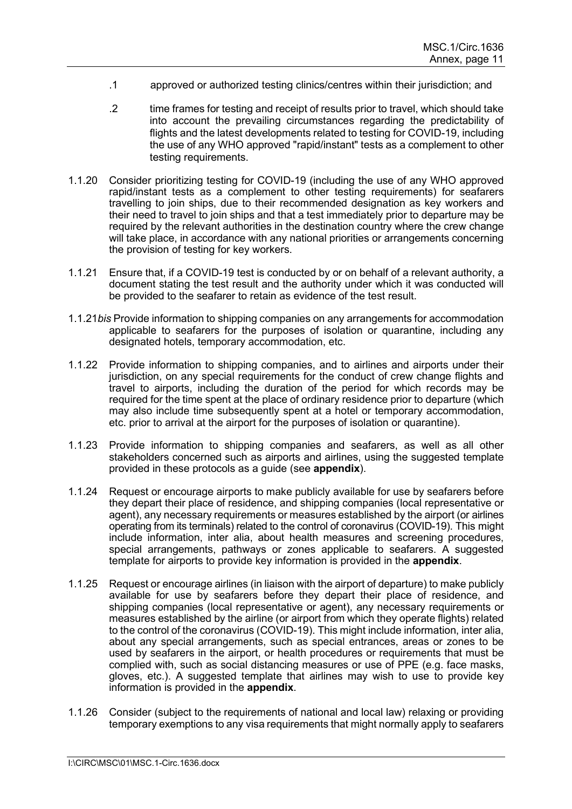- .1 approved or authorized testing clinics/centres within their jurisdiction; and
- .2 time frames for testing and receipt of results prior to travel, which should take into account the prevailing circumstances regarding the predictability of flights and the latest developments related to testing for COVID-19, including the use of any WHO approved "rapid/instant" tests as a complement to other testing requirements.
- 1.1.20 Consider prioritizing testing for COVID-19 (including the use of any WHO approved rapid/instant tests as a complement to other testing requirements) for seafarers travelling to join ships, due to their recommended designation as key workers and their need to travel to join ships and that a test immediately prior to departure may be required by the relevant authorities in the destination country where the crew change will take place, in accordance with any national priorities or arrangements concerning the provision of testing for key workers.
- 1.1.21 Ensure that, if a COVID-19 test is conducted by or on behalf of a relevant authority, a document stating the test result and the authority under which it was conducted will be provided to the seafarer to retain as evidence of the test result.
- 1.1.21*bis* Provide information to shipping companies on any arrangements for accommodation applicable to seafarers for the purposes of isolation or quarantine, including any designated hotels, temporary accommodation, etc.
- 1.1.22 Provide information to shipping companies, and to airlines and airports under their jurisdiction, on any special requirements for the conduct of crew change flights and travel to airports, including the duration of the period for which records may be required for the time spent at the place of ordinary residence prior to departure (which may also include time subsequently spent at a hotel or temporary accommodation, etc. prior to arrival at the airport for the purposes of isolation or quarantine).
- 1.1.23 Provide information to shipping companies and seafarers, as well as all other stakeholders concerned such as airports and airlines, using the suggested template provided in these protocols as a guide (see **appendix**).
- 1.1.24 Request or encourage airports to make publicly available for use by seafarers before they depart their place of residence, and shipping companies (local representative or agent), any necessary requirements or measures established by the airport (or airlines operating from its terminals) related to the control of coronavirus (COVID-19). This might include information, inter alia, about health measures and screening procedures, special arrangements, pathways or zones applicable to seafarers. A suggested template for airports to provide key information is provided in the **appendix**.
- 1.1.25 Request or encourage airlines (in liaison with the airport of departure) to make publicly available for use by seafarers before they depart their place of residence, and shipping companies (local representative or agent), any necessary requirements or measures established by the airline (or airport from which they operate flights) related to the control of the coronavirus (COVID-19). This might include information, inter alia, about any special arrangements, such as special entrances, areas or zones to be used by seafarers in the airport, or health procedures or requirements that must be complied with, such as social distancing measures or use of PPE (e.g. face masks, gloves, etc.). A suggested template that airlines may wish to use to provide key information is provided in the **appendix**.
- 1.1.26 Consider (subject to the requirements of national and local law) relaxing or providing temporary exemptions to any visa requirements that might normally apply to seafarers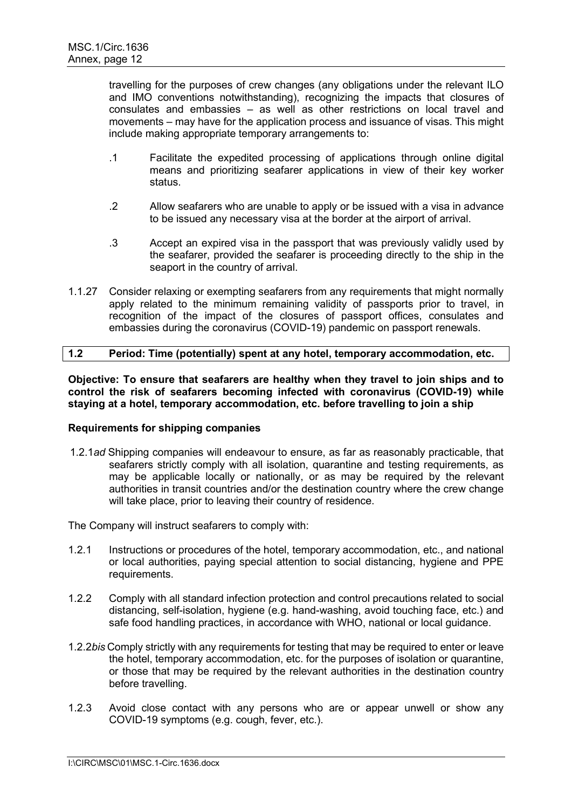travelling for the purposes of crew changes (any obligations under the relevant ILO and IMO conventions notwithstanding), recognizing the impacts that closures of consulates and embassies – as well as other restrictions on local travel and movements – may have for the application process and issuance of visas. This might include making appropriate temporary arrangements to:

- .1 Facilitate the expedited processing of applications through online digital means and prioritizing seafarer applications in view of their key worker status.
- .2 Allow seafarers who are unable to apply or be issued with a visa in advance to be issued any necessary visa at the border at the airport of arrival.
- .3 Accept an expired visa in the passport that was previously validly used by the seafarer, provided the seafarer is proceeding directly to the ship in the seaport in the country of arrival.
- 1.1.27 Consider relaxing or exempting seafarers from any requirements that might normally apply related to the minimum remaining validity of passports prior to travel, in recognition of the impact of the closures of passport offices, consulates and embassies during the coronavirus (COVID-19) pandemic on passport renewals.

### **1.2 Period: Time (potentially) spent at any hotel, temporary accommodation, etc.**

**Objective: To ensure that seafarers are healthy when they travel to join ships and to control the risk of seafarers becoming infected with coronavirus (COVID-19) while staying at a hotel, temporary accommodation, etc. before travelling to join a ship**

### **Requirements for shipping companies**

1.2.1*ad* Shipping companies will endeavour to ensure, as far as reasonably practicable, that seafarers strictly comply with all isolation, quarantine and testing requirements, as may be applicable locally or nationally, or as may be required by the relevant authorities in transit countries and/or the destination country where the crew change will take place, prior to leaving their country of residence.

The Company will instruct seafarers to comply with:

- 1.2.1 Instructions or procedures of the hotel, temporary accommodation, etc., and national or local authorities, paying special attention to social distancing, hygiene and PPE requirements.
- 1.2.2 Comply with all standard infection protection and control precautions related to social distancing, self-isolation, hygiene (e.g. hand-washing, avoid touching face, etc.) and safe food handling practices, in accordance with WHO, national or local guidance.
- 1.2.2*bis* Comply strictly with any requirements for testing that may be required to enter or leave the hotel, temporary accommodation, etc. for the purposes of isolation or quarantine, or those that may be required by the relevant authorities in the destination country before travelling.
- 1.2.3 Avoid close contact with any persons who are or appear unwell or show any COVID-19 symptoms (e.g. cough, fever, etc.).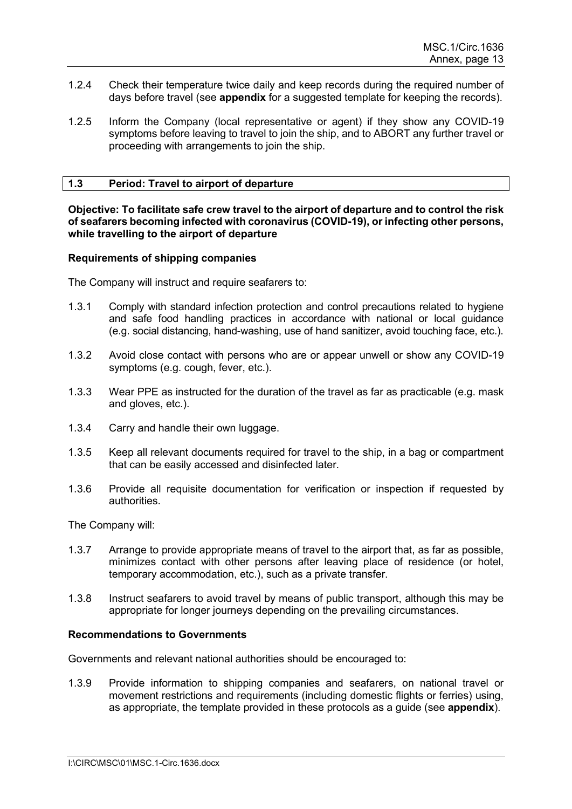- 1.2.4 Check their temperature twice daily and keep records during the required number of days before travel (see **appendix** for a suggested template for keeping the records).
- 1.2.5 Inform the Company (local representative or agent) if they show any COVID-19 symptoms before leaving to travel to join the ship, and to ABORT any further travel or proceeding with arrangements to join the ship.

### **1.3 Period: Travel to airport of departure**

**Objective: To facilitate safe crew travel to the airport of departure and to control the risk of seafarers becoming infected with coronavirus (COVID-19), or infecting other persons, while travelling to the airport of departure**

### **Requirements of shipping companies**

The Company will instruct and require seafarers to:

- 1.3.1 Comply with standard infection protection and control precautions related to hygiene and safe food handling practices in accordance with national or local guidance (e.g. social distancing, hand-washing, use of hand sanitizer, avoid touching face, etc.).
- 1.3.2 Avoid close contact with persons who are or appear unwell or show any COVID-19 symptoms (e.g. cough, fever, etc.).
- 1.3.3 Wear PPE as instructed for the duration of the travel as far as practicable (e.g. mask and gloves, etc.).
- 1.3.4 Carry and handle their own luggage.
- 1.3.5 Keep all relevant documents required for travel to the ship, in a bag or compartment that can be easily accessed and disinfected later.
- 1.3.6 Provide all requisite documentation for verification or inspection if requested by authorities.

The Company will:

- 1.3.7 Arrange to provide appropriate means of travel to the airport that, as far as possible, minimizes contact with other persons after leaving place of residence (or hotel, temporary accommodation, etc.), such as a private transfer.
- 1.3.8 Instruct seafarers to avoid travel by means of public transport, although this may be appropriate for longer journeys depending on the prevailing circumstances.

### **Recommendations to Governments**

Governments and relevant national authorities should be encouraged to:

1.3.9 Provide information to shipping companies and seafarers, on national travel or movement restrictions and requirements (including domestic flights or ferries) using, as appropriate, the template provided in these protocols as a guide (see **appendix**).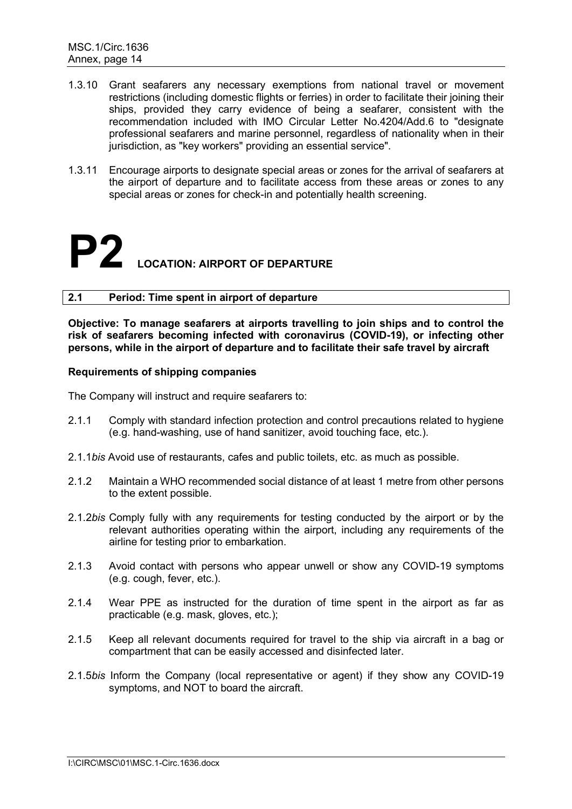- 1.3.10 Grant seafarers any necessary exemptions from national travel or movement restrictions (including domestic flights or ferries) in order to facilitate their joining their ships, provided they carry evidence of being a seafarer, consistent with the recommendation included with IMO Circular Letter No.4204/Add.6 to "designate professional seafarers and marine personnel, regardless of nationality when in their jurisdiction, as "key workers" providing an essential service".
- 1.3.11 Encourage airports to designate special areas or zones for the arrival of seafarers at the airport of departure and to facilitate access from these areas or zones to any special areas or zones for check-in and potentially health screening.

# **P2 LOCATION: AIRPORT OF DEPARTURE**

### **2.1 Period: Time spent in airport of departure**

**Objective: To manage seafarers at airports travelling to join ships and to control the risk of seafarers becoming infected with coronavirus (COVID-19), or infecting other persons, while in the airport of departure and to facilitate their safe travel by aircraft**

### **Requirements of shipping companies**

The Company will instruct and require seafarers to:

- 2.1.1 Comply with standard infection protection and control precautions related to hygiene (e.g. hand-washing, use of hand sanitizer, avoid touching face, etc.).
- 2.1.1*bis* Avoid use of restaurants, cafes and public toilets, etc. as much as possible.
- 2.1.2 Maintain a WHO recommended social distance of at least 1 metre from other persons to the extent possible.
- 2.1.2*bis* Comply fully with any requirements for testing conducted by the airport or by the relevant authorities operating within the airport, including any requirements of the airline for testing prior to embarkation.
- 2.1.3 Avoid contact with persons who appear unwell or show any COVID-19 symptoms (e.g. cough, fever, etc.).
- 2.1.4 Wear PPE as instructed for the duration of time spent in the airport as far as practicable (e.g. mask, gloves, etc.);
- 2.1.5 Keep all relevant documents required for travel to the ship via aircraft in a bag or compartment that can be easily accessed and disinfected later.
- 2.1.5*bis* Inform the Company (local representative or agent) if they show any COVID-19 symptoms, and NOT to board the aircraft.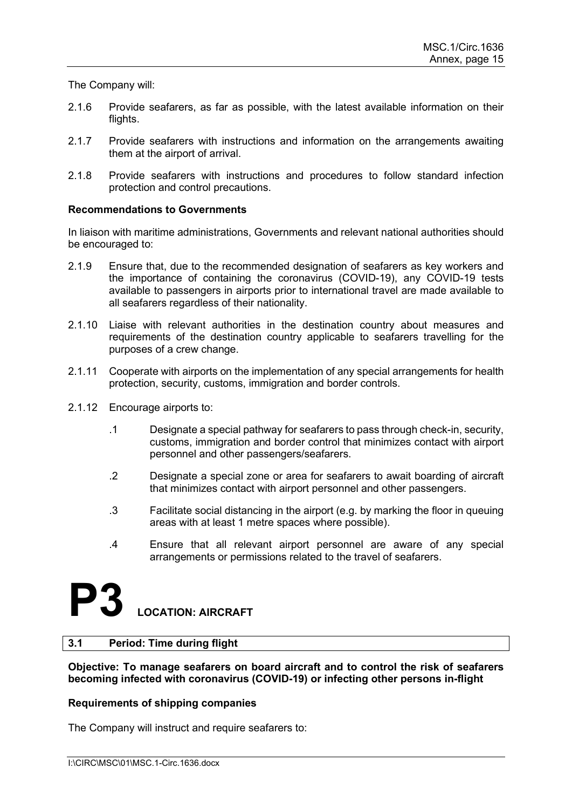The Company will:

- 2.1.6 Provide seafarers, as far as possible, with the latest available information on their flights.
- 2.1.7 Provide seafarers with instructions and information on the arrangements awaiting them at the airport of arrival.
- 2.1.8 Provide seafarers with instructions and procedures to follow standard infection protection and control precautions.

### **Recommendations to Governments**

In liaison with maritime administrations, Governments and relevant national authorities should be encouraged to:

- 2.1.9 Ensure that, due to the recommended designation of seafarers as key workers and the importance of containing the coronavirus (COVID-19), any COVID-19 tests available to passengers in airports prior to international travel are made available to all seafarers regardless of their nationality.
- 2.1.10 Liaise with relevant authorities in the destination country about measures and requirements of the destination country applicable to seafarers travelling for the purposes of a crew change.
- 2.1.11 Cooperate with airports on the implementation of any special arrangements for health protection, security, customs, immigration and border controls.
- 2.1.12 Encourage airports to:
	- .1 Designate a special pathway for seafarers to pass through check-in, security, customs, immigration and border control that minimizes contact with airport personnel and other passengers/seafarers.
	- .2 Designate a special zone or area for seafarers to await boarding of aircraft that minimizes contact with airport personnel and other passengers.
	- .3 Facilitate social distancing in the airport (e.g. by marking the floor in queuing areas with at least 1 metre spaces where possible).
	- .4 Ensure that all relevant airport personnel are aware of any special arrangements or permissions related to the travel of seafarers.

### **P3 LOCATION: AIRCRAFT**

### **3.1 Period: Time during flight**

**Objective: To manage seafarers on board aircraft and to control the risk of seafarers becoming infected with coronavirus (COVID-19) or infecting other persons in-flight**

### **Requirements of shipping companies**

The Company will instruct and require seafarers to: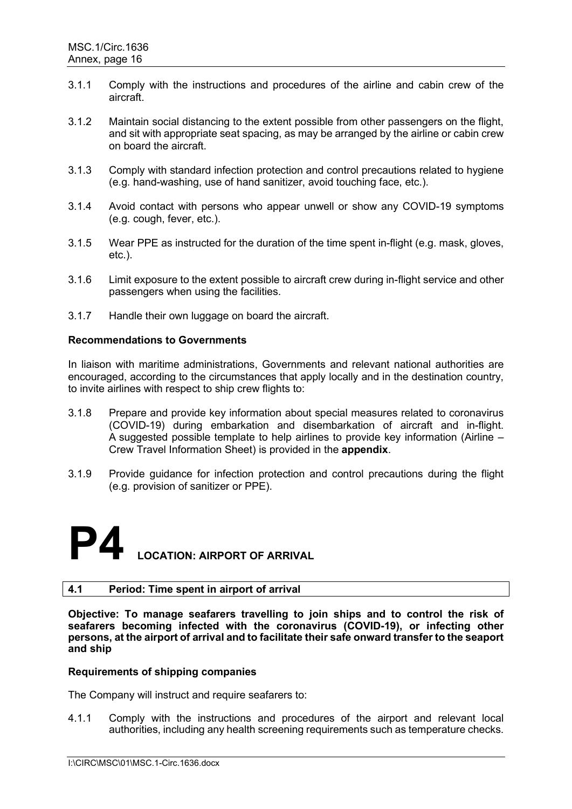- 3.1.1 Comply with the instructions and procedures of the airline and cabin crew of the aircraft.
- 3.1.2 Maintain social distancing to the extent possible from other passengers on the flight, and sit with appropriate seat spacing, as may be arranged by the airline or cabin crew on board the aircraft.
- 3.1.3 Comply with standard infection protection and control precautions related to hygiene (e.g. hand-washing, use of hand sanitizer, avoid touching face, etc.).
- 3.1.4 Avoid contact with persons who appear unwell or show any COVID-19 symptoms (e.g. cough, fever, etc.).
- 3.1.5 Wear PPE as instructed for the duration of the time spent in-flight (e.g. mask, gloves, etc.).
- 3.1.6 Limit exposure to the extent possible to aircraft crew during in-flight service and other passengers when using the facilities.
- 3.1.7 Handle their own luggage on board the aircraft.

In liaison with maritime administrations, Governments and relevant national authorities are encouraged, according to the circumstances that apply locally and in the destination country, to invite airlines with respect to ship crew flights to:

- 3.1.8 Prepare and provide key information about special measures related to coronavirus (COVID-19) during embarkation and disembarkation of aircraft and in-flight. A suggested possible template to help airlines to provide key information (Airline  $-$ Crew Travel Information Sheet) is provided in the **appendix**.
- 3.1.9 Provide guidance for infection protection and control precautions during the flight (e.g. provision of sanitizer or PPE).

### **LOCATION: AIRPORT OF ARRIVAL**

### **4.1 Period: Time spent in airport of arrival**

**Objective: To manage seafarers travelling to join ships and to control the risk of seafarers becoming infected with the coronavirus (COVID-19), or infecting other persons, at the airport of arrival and to facilitate their safe onward transfer to the seaport and ship**

### **Requirements of shipping companies**

The Company will instruct and require seafarers to:

4.1.1 Comply with the instructions and procedures of the airport and relevant local authorities, including any health screening requirements such as temperature checks.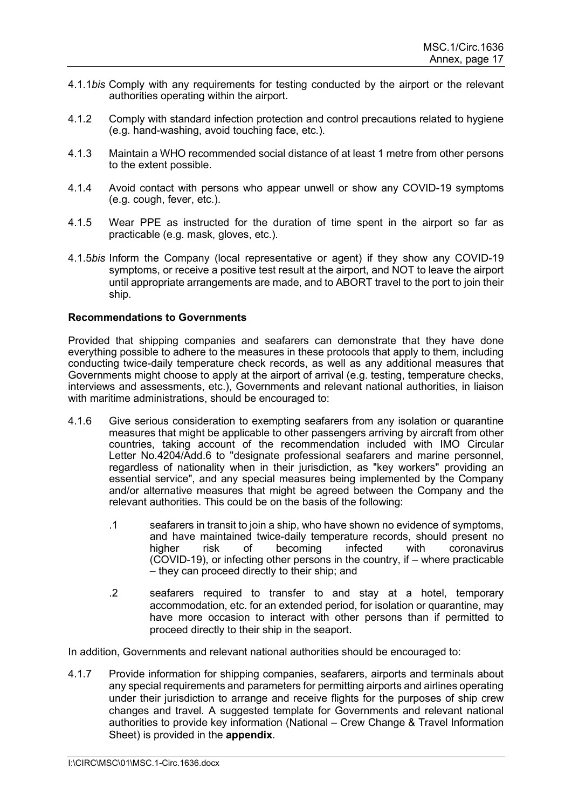- 4.1.1*bis* Comply with any requirements for testing conducted by the airport or the relevant authorities operating within the airport.
- 4.1.2 Comply with standard infection protection and control precautions related to hygiene (e.g. hand-washing, avoid touching face, etc.).
- 4.1.3 Maintain a WHO recommended social distance of at least 1 metre from other persons to the extent possible.
- 4.1.4 Avoid contact with persons who appear unwell or show any COVID-19 symptoms (e.g. cough, fever, etc.).
- 4.1.5 Wear PPE as instructed for the duration of time spent in the airport so far as practicable (e.g. mask, gloves, etc.).
- 4.1.5*bis* Inform the Company (local representative or agent) if they show any COVID-19 symptoms, or receive a positive test result at the airport, and NOT to leave the airport until appropriate arrangements are made, and to ABORT travel to the port to join their ship.

Provided that shipping companies and seafarers can demonstrate that they have done everything possible to adhere to the measures in these protocols that apply to them, including conducting twice-daily temperature check records, as well as any additional measures that Governments might choose to apply at the airport of arrival (e.g. testing, temperature checks, interviews and assessments, etc.), Governments and relevant national authorities, in liaison with maritime administrations, should be encouraged to:

- 4.1.6 Give serious consideration to exempting seafarers from any isolation or quarantine measures that might be applicable to other passengers arriving by aircraft from other countries, taking account of the recommendation included with IMO Circular Letter No.4204/Add.6 to "designate professional seafarers and marine personnel, regardless of nationality when in their jurisdiction, as "key workers" providing an essential service", and any special measures being implemented by the Company and/or alternative measures that might be agreed between the Company and the relevant authorities. This could be on the basis of the following:
	- .1 seafarers in transit to join a ship, who have shown no evidence of symptoms, and have maintained twice-daily temperature records, should present no<br>higher arisk of becoming infected with coronavirus risk of becoming infected with coronavirus (COVID-19), or infecting other persons in the country, if – where practicable – they can proceed directly to their ship; and
	- .2 seafarers required to transfer to and stay at a hotel, temporary accommodation, etc. for an extended period, for isolation or quarantine, may have more occasion to interact with other persons than if permitted to proceed directly to their ship in the seaport.

In addition, Governments and relevant national authorities should be encouraged to:

4.1.7 Provide information for shipping companies, seafarers, airports and terminals about any special requirements and parameters for permitting airports and airlines operating under their jurisdiction to arrange and receive flights for the purposes of ship crew changes and travel. A suggested template for Governments and relevant national authorities to provide key information (National – Crew Change & Travel Information Sheet) is provided in the **appendix**.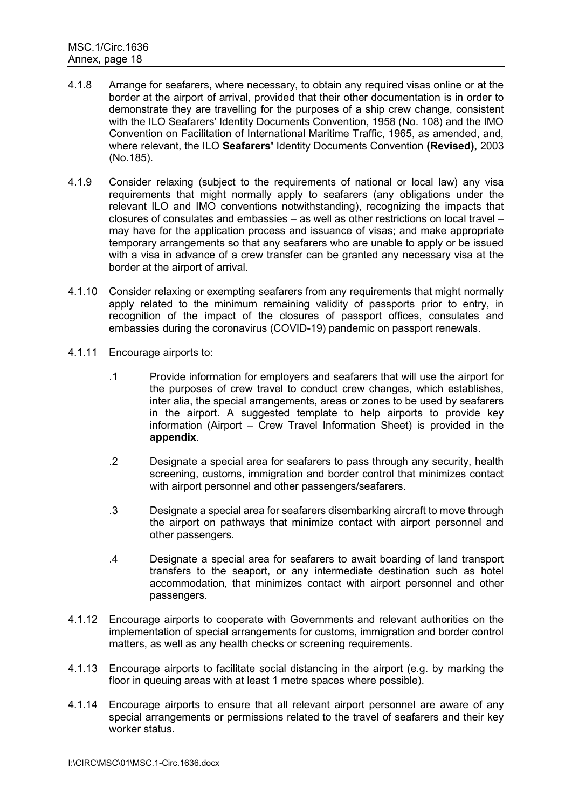- 4.1.8 Arrange for seafarers, where necessary, to obtain any required visas online or at the border at the airport of arrival, provided that their other documentation is in order to demonstrate they are travelling for the purposes of a ship crew change, consistent with the ILO Seafarers' Identity Documents Convention, 1958 (No. 108) and the IMO Convention on Facilitation of International Maritime Traffic, 1965, as amended, and, where relevant, the ILO **Seafarers'** Identity Documents Convention **(Revised),** 2003 (No.185).
- 4.1.9 Consider relaxing (subject to the requirements of national or local law) any visa requirements that might normally apply to seafarers (any obligations under the relevant ILO and IMO conventions notwithstanding), recognizing the impacts that closures of consulates and embassies – as well as other restrictions on local travel – may have for the application process and issuance of visas; and make appropriate temporary arrangements so that any seafarers who are unable to apply or be issued with a visa in advance of a crew transfer can be granted any necessary visa at the border at the airport of arrival.
- 4.1.10 Consider relaxing or exempting seafarers from any requirements that might normally apply related to the minimum remaining validity of passports prior to entry, in recognition of the impact of the closures of passport offices, consulates and embassies during the coronavirus (COVID-19) pandemic on passport renewals.
- 4.1.11 Encourage airports to:
	- .1 Provide information for employers and seafarers that will use the airport for the purposes of crew travel to conduct crew changes, which establishes, inter alia, the special arrangements, areas or zones to be used by seafarers in the airport. A suggested template to help airports to provide key information (Airport – Crew Travel Information Sheet) is provided in the **appendix**.
	- .2 Designate a special area for seafarers to pass through any security, health screening, customs, immigration and border control that minimizes contact with airport personnel and other passengers/seafarers.
	- .3 Designate a special area for seafarers disembarking aircraft to move through the airport on pathways that minimize contact with airport personnel and other passengers.
	- .4 Designate a special area for seafarers to await boarding of land transport transfers to the seaport, or any intermediate destination such as hotel accommodation, that minimizes contact with airport personnel and other passengers.
- 4.1.12 Encourage airports to cooperate with Governments and relevant authorities on the implementation of special arrangements for customs, immigration and border control matters, as well as any health checks or screening requirements.
- 4.1.13 Encourage airports to facilitate social distancing in the airport (e.g. by marking the floor in queuing areas with at least 1 metre spaces where possible).
- 4.1.14 Encourage airports to ensure that all relevant airport personnel are aware of any special arrangements or permissions related to the travel of seafarers and their key worker status.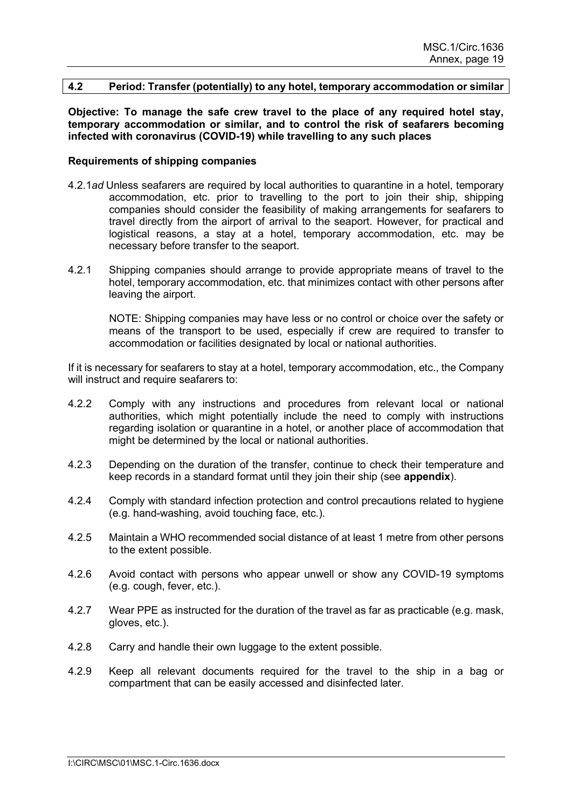### **4.2 Period: Transfer (potentially) to any hotel, temporary accommodation or similar**

**Objective: To manage the safe crew travel to the place of any required hotel stay, temporary accommodation or similar, and to control the risk of seafarers becoming infected with coronavirus (COVID-19) while travelling to any such places**

### **Requirements of shipping companies**

- 4.2.1*ad* Unless seafarers are required by local authorities to quarantine in a hotel, temporary accommodation, etc. prior to travelling to the port to join their ship, shipping companies should consider the feasibility of making arrangements for seafarers to travel directly from the airport of arrival to the seaport. However, for practical and logistical reasons, a stay at a hotel, temporary accommodation, etc. may be necessary before transfer to the seaport.
- 4.2.1 Shipping companies should arrange to provide appropriate means of travel to the hotel, temporary accommodation, etc. that minimizes contact with other persons after leaving the airport.

NOTE: Shipping companies may have less or no control or choice over the safety or means of the transport to be used, especially if crew are required to transfer to accommodation or facilities designated by local or national authorities.

If it is necessary for seafarers to stay at a hotel, temporary accommodation, etc., the Company will instruct and require seafarers to:

- 4.2.2 Comply with any instructions and procedures from relevant local or national authorities, which might potentially include the need to comply with instructions regarding isolation or quarantine in a hotel, or another place of accommodation that might be determined by the local or national authorities.
- 4.2.3 Depending on the duration of the transfer, continue to check their temperature and keep records in a standard format until they join their ship (see **appendix**).
- 4.2.4 Comply with standard infection protection and control precautions related to hygiene (e.g. hand-washing, avoid touching face, etc.).
- 4.2.5 Maintain a WHO recommended social distance of at least 1 metre from other persons to the extent possible.
- 4.2.6 Avoid contact with persons who appear unwell or show any COVID-19 symptoms (e.g. cough, fever, etc.).
- 4.2.7 Wear PPE as instructed for the duration of the travel as far as practicable (e.g. mask, gloves, etc.).
- 4.2.8 Carry and handle their own luggage to the extent possible.
- 4.2.9 Keep all relevant documents required for the travel to the ship in a bag or compartment that can be easily accessed and disinfected later.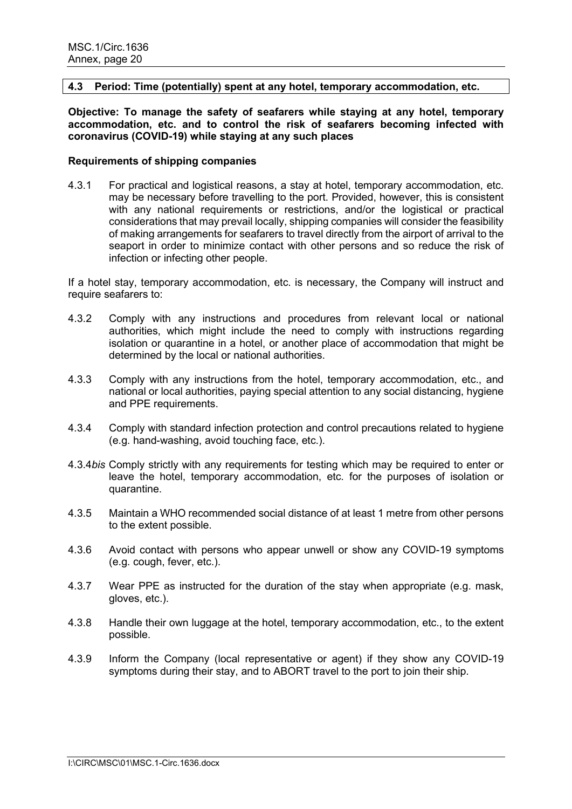### **4.3 Period: Time (potentially) spent at any hotel, temporary accommodation, etc.**

**Objective: To manage the safety of seafarers while staying at any hotel, temporary accommodation, etc. and to control the risk of seafarers becoming infected with coronavirus (COVID-19) while staying at any such places**

### **Requirements of shipping companies**

4.3.1 For practical and logistical reasons, a stay at hotel, temporary accommodation, etc. may be necessary before travelling to the port. Provided, however, this is consistent with any national requirements or restrictions, and/or the logistical or practical considerations that may prevail locally, shipping companies will consider the feasibility of making arrangements for seafarers to travel directly from the airport of arrival to the seaport in order to minimize contact with other persons and so reduce the risk of infection or infecting other people.

If a hotel stay, temporary accommodation, etc. is necessary, the Company will instruct and require seafarers to:

- 4.3.2 Comply with any instructions and procedures from relevant local or national authorities, which might include the need to comply with instructions regarding isolation or quarantine in a hotel, or another place of accommodation that might be determined by the local or national authorities.
- 4.3.3 Comply with any instructions from the hotel, temporary accommodation, etc., and national or local authorities, paying special attention to any social distancing, hygiene and PPE requirements.
- 4.3.4 Comply with standard infection protection and control precautions related to hygiene (e.g. hand-washing, avoid touching face, etc.).
- 4.3.4*bis* Comply strictly with any requirements for testing which may be required to enter or leave the hotel, temporary accommodation, etc. for the purposes of isolation or quarantine.
- 4.3.5 Maintain a WHO recommended social distance of at least 1 metre from other persons to the extent possible.
- 4.3.6 Avoid contact with persons who appear unwell or show any COVID-19 symptoms (e.g. cough, fever, etc.).
- 4.3.7 Wear PPE as instructed for the duration of the stay when appropriate (e.g. mask, gloves, etc.).
- 4.3.8 Handle their own luggage at the hotel, temporary accommodation, etc., to the extent possible.
- 4.3.9 Inform the Company (local representative or agent) if they show any COVID-19 symptoms during their stay, and to ABORT travel to the port to join their ship.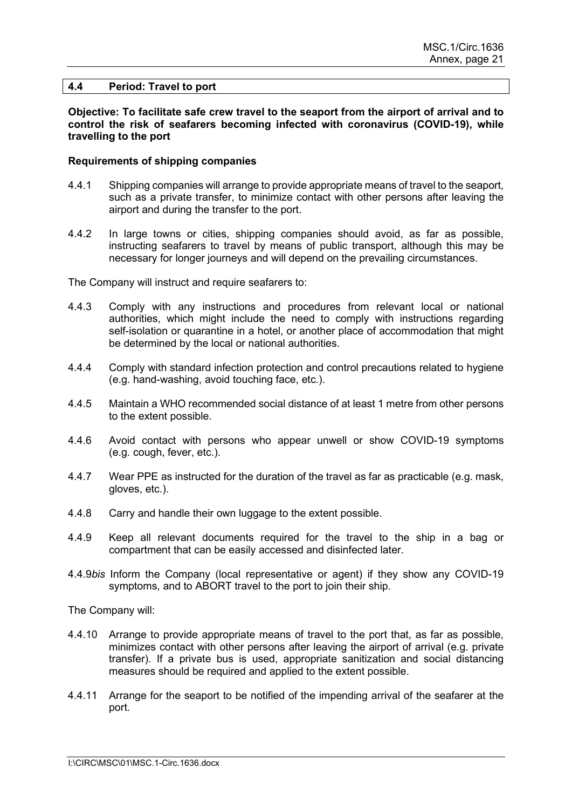### **4.4 Period: Travel to port**

**Objective: To facilitate safe crew travel to the seaport from the airport of arrival and to control the risk of seafarers becoming infected with coronavirus (COVID-19), while travelling to the port**

### **Requirements of shipping companies**

- 4.4.1 Shipping companies will arrange to provide appropriate means of travel to the seaport, such as a private transfer, to minimize contact with other persons after leaving the airport and during the transfer to the port.
- 4.4.2 In large towns or cities, shipping companies should avoid, as far as possible, instructing seafarers to travel by means of public transport, although this may be necessary for longer journeys and will depend on the prevailing circumstances.

The Company will instruct and require seafarers to:

- 4.4.3 Comply with any instructions and procedures from relevant local or national authorities, which might include the need to comply with instructions regarding self-isolation or quarantine in a hotel, or another place of accommodation that might be determined by the local or national authorities.
- 4.4.4 Comply with standard infection protection and control precautions related to hygiene (e.g. hand-washing, avoid touching face, etc.).
- 4.4.5 Maintain a WHO recommended social distance of at least 1 metre from other persons to the extent possible.
- 4.4.6 Avoid contact with persons who appear unwell or show COVID-19 symptoms (e.g. cough, fever, etc.).
- 4.4.7 Wear PPE as instructed for the duration of the travel as far as practicable (e.g. mask, gloves, etc.).
- 4.4.8 Carry and handle their own luggage to the extent possible.
- 4.4.9 Keep all relevant documents required for the travel to the ship in a bag or compartment that can be easily accessed and disinfected later.
- 4.4.9*bis* Inform the Company (local representative or agent) if they show any COVID-19 symptoms, and to ABORT travel to the port to join their ship.

The Company will:

- 4.4.10 Arrange to provide appropriate means of travel to the port that, as far as possible, minimizes contact with other persons after leaving the airport of arrival (e.g. private transfer). If a private bus is used, appropriate sanitization and social distancing measures should be required and applied to the extent possible.
- 4.4.11 Arrange for the seaport to be notified of the impending arrival of the seafarer at the port.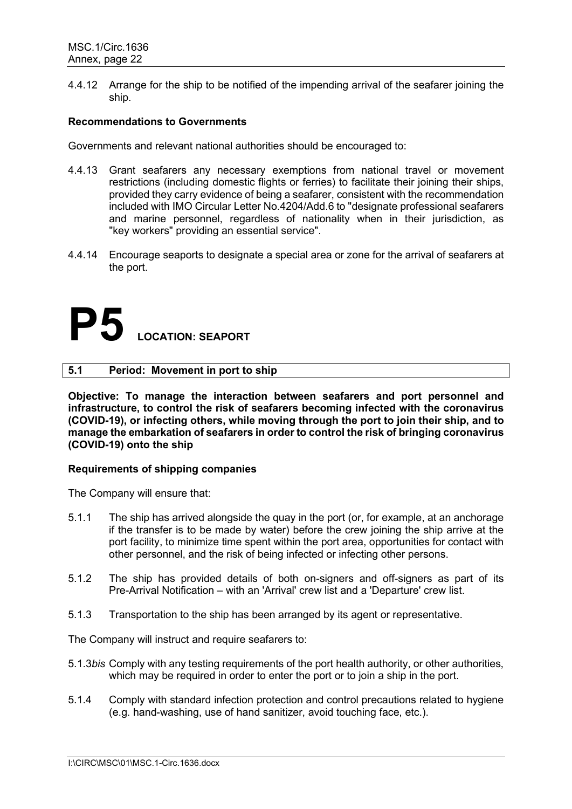4.4.12 Arrange for the ship to be notified of the impending arrival of the seafarer joining the ship.

### **Recommendations to Governments**

Governments and relevant national authorities should be encouraged to:

- 4.4.13 Grant seafarers any necessary exemptions from national travel or movement restrictions (including domestic flights or ferries) to facilitate their joining their ships, provided they carry evidence of being a seafarer, consistent with the recommendation included with IMO Circular Letter No.4204/Add.6 to "designate professional seafarers and marine personnel, regardless of nationality when in their jurisdiction, as "key workers" providing an essential service".
- 4.4.14 Encourage seaports to designate a special area or zone for the arrival of seafarers at the port.

### **P5 LOCATION: SEAPORT**

### **5.1 Period: Movement in port to ship**

**Objective: To manage the interaction between seafarers and port personnel and infrastructure, to control the risk of seafarers becoming infected with the coronavirus (COVID-19), or infecting others, while moving through the port to join their ship, and to manage the embarkation of seafarers in order to control the risk of bringing coronavirus (COVID-19) onto the ship**

### **Requirements of shipping companies**

The Company will ensure that:

- 5.1.1 The ship has arrived alongside the quay in the port (or, for example, at an anchorage if the transfer is to be made by water) before the crew joining the ship arrive at the port facility, to minimize time spent within the port area, opportunities for contact with other personnel, and the risk of being infected or infecting other persons.
- 5.1.2 The ship has provided details of both on-signers and off-signers as part of its Pre-Arrival Notification – with an 'Arrival' crew list and a 'Departure' crew list.
- 5.1.3 Transportation to the ship has been arranged by its agent or representative.

The Company will instruct and require seafarers to:

- 5.1.3*bis* Comply with any testing requirements of the port health authority, or other authorities, which may be required in order to enter the port or to join a ship in the port.
- 5.1.4 Comply with standard infection protection and control precautions related to hygiene (e.g. hand-washing, use of hand sanitizer, avoid touching face, etc.).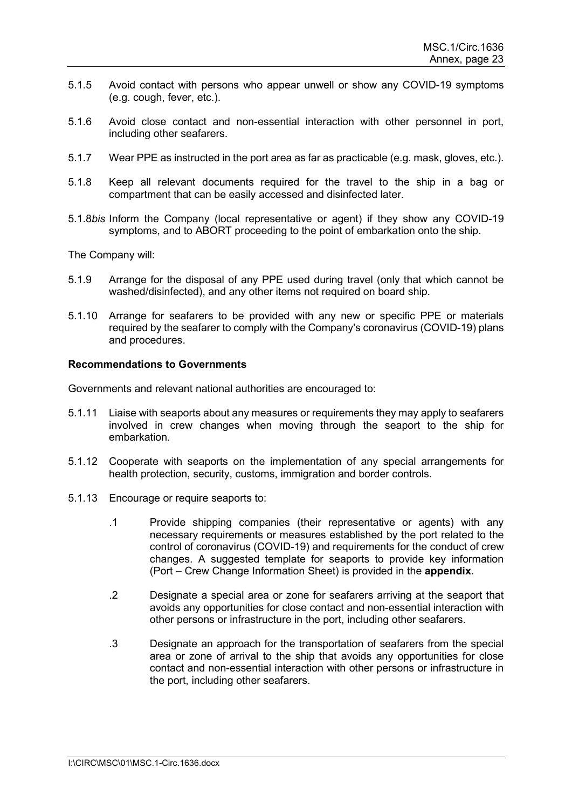- 5.1.5 Avoid contact with persons who appear unwell or show any COVID-19 symptoms (e.g. cough, fever, etc.).
- 5.1.6 Avoid close contact and non-essential interaction with other personnel in port, including other seafarers.
- 5.1.7 Wear PPE as instructed in the port area as far as practicable (e.g. mask, gloves, etc.).
- 5.1.8 Keep all relevant documents required for the travel to the ship in a bag or compartment that can be easily accessed and disinfected later.
- 5.1.8*bis* Inform the Company (local representative or agent) if they show any COVID-19 symptoms, and to ABORT proceeding to the point of embarkation onto the ship.

The Company will:

- 5.1.9 Arrange for the disposal of any PPE used during travel (only that which cannot be washed/disinfected), and any other items not required on board ship.
- 5.1.10 Arrange for seafarers to be provided with any new or specific PPE or materials required by the seafarer to comply with the Company's coronavirus (COVID-19) plans and procedures.

### **Recommendations to Governments**

Governments and relevant national authorities are encouraged to:

- 5.1.11 Liaise with seaports about any measures or requirements they may apply to seafarers involved in crew changes when moving through the seaport to the ship for embarkation.
- 5.1.12 Cooperate with seaports on the implementation of any special arrangements for health protection, security, customs, immigration and border controls.
- 5.1.13 Encourage or require seaports to:
	- .1 Provide shipping companies (their representative or agents) with any necessary requirements or measures established by the port related to the control of coronavirus (COVID-19) and requirements for the conduct of crew changes. A suggested template for seaports to provide key information (Port – Crew Change Information Sheet) is provided in the **appendix**.
	- .2 Designate a special area or zone for seafarers arriving at the seaport that avoids any opportunities for close contact and non-essential interaction with other persons or infrastructure in the port, including other seafarers.
	- .3 Designate an approach for the transportation of seafarers from the special area or zone of arrival to the ship that avoids any opportunities for close contact and non-essential interaction with other persons or infrastructure in the port, including other seafarers.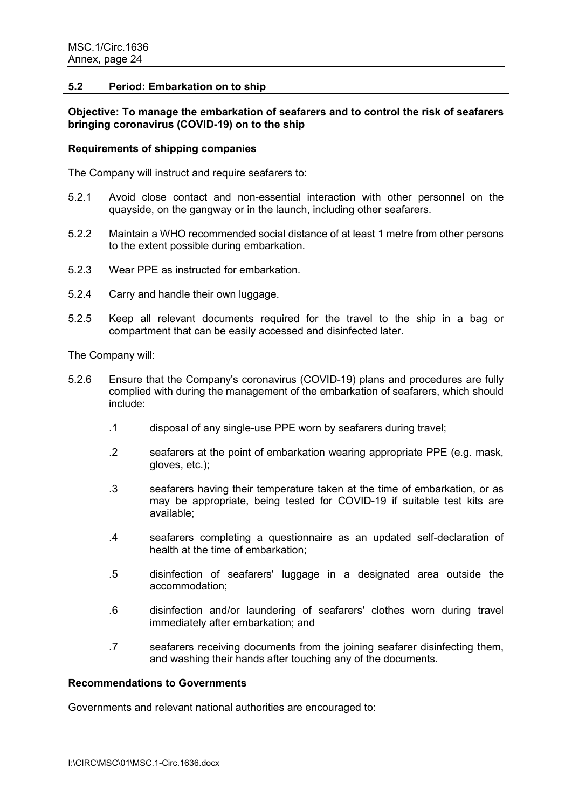### **5.2 Period: Embarkation on to ship**

### **Objective: To manage the embarkation of seafarers and to control the risk of seafarers bringing coronavirus (COVID-19) on to the ship**

### **Requirements of shipping companies**

The Company will instruct and require seafarers to:

- 5.2.1 Avoid close contact and non-essential interaction with other personnel on the quayside, on the gangway or in the launch, including other seafarers.
- 5.2.2 Maintain a WHO recommended social distance of at least 1 metre from other persons to the extent possible during embarkation.
- 5.2.3 Wear PPE as instructed for embarkation.
- 5.2.4 Carry and handle their own luggage.
- 5.2.5 Keep all relevant documents required for the travel to the ship in a bag or compartment that can be easily accessed and disinfected later.

The Company will:

- 5.2.6 Ensure that the Company's coronavirus (COVID-19) plans and procedures are fully complied with during the management of the embarkation of seafarers, which should include:
	- .1 disposal of any single-use PPE worn by seafarers during travel;
	- .2 seafarers at the point of embarkation wearing appropriate PPE (e.g. mask, gloves, etc.);
	- .3 seafarers having their temperature taken at the time of embarkation, or as may be appropriate, being tested for COVID-19 if suitable test kits are available;
	- .4 seafarers completing a questionnaire as an updated self-declaration of health at the time of embarkation;
	- .5 disinfection of seafarers' luggage in a designated area outside the accommodation;
	- .6 disinfection and/or laundering of seafarers' clothes worn during travel immediately after embarkation; and
	- .7 seafarers receiving documents from the joining seafarer disinfecting them, and washing their hands after touching any of the documents.

### **Recommendations to Governments**

Governments and relevant national authorities are encouraged to: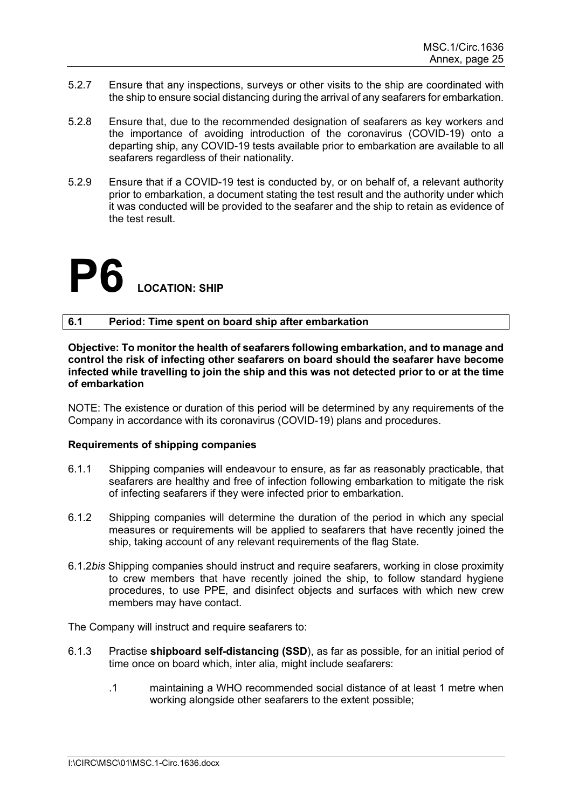- 5.2.7 Ensure that any inspections, surveys or other visits to the ship are coordinated with the ship to ensure social distancing during the arrival of any seafarers for embarkation.
- 5.2.8 Ensure that, due to the recommended designation of seafarers as key workers and the importance of avoiding introduction of the coronavirus (COVID-19) onto a departing ship, any COVID-19 tests available prior to embarkation are available to all seafarers regardless of their nationality.
- 5.2.9 Ensure that if a COVID-19 test is conducted by, or on behalf of, a relevant authority prior to embarkation, a document stating the test result and the authority under which it was conducted will be provided to the seafarer and the ship to retain as evidence of the test result.

### **P6 LOCATION: SHIP**

### **6.1 Period: Time spent on board ship after embarkation**

**Objective: To monitor the health of seafarers following embarkation, and to manage and control the risk of infecting other seafarers on board should the seafarer have become infected while travelling to join the ship and this was not detected prior to or at the time of embarkation**

NOTE: The existence or duration of this period will be determined by any requirements of the Company in accordance with its coronavirus (COVID-19) plans and procedures.

### **Requirements of shipping companies**

- 6.1.1 Shipping companies will endeavour to ensure, as far as reasonably practicable, that seafarers are healthy and free of infection following embarkation to mitigate the risk of infecting seafarers if they were infected prior to embarkation.
- 6.1.2 Shipping companies will determine the duration of the period in which any special measures or requirements will be applied to seafarers that have recently joined the ship, taking account of any relevant requirements of the flag State.
- 6.1.2*bis* Shipping companies should instruct and require seafarers, working in close proximity to crew members that have recently joined the ship, to follow standard hygiene procedures, to use PPE, and disinfect objects and surfaces with which new crew members may have contact.

The Company will instruct and require seafarers to:

- 6.1.3 Practise **shipboard self-distancing (SSD**), as far as possible, for an initial period of time once on board which, inter alia, might include seafarers:
	- .1 maintaining a WHO recommended social distance of at least 1 metre when working alongside other seafarers to the extent possible;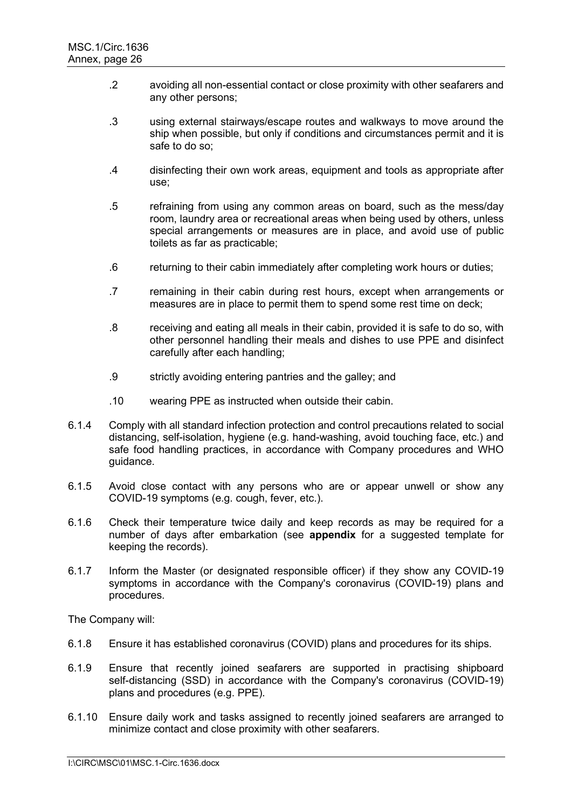- .2 avoiding all non-essential contact or close proximity with other seafarers and any other persons;
- .3 using external stairways/escape routes and walkways to move around the ship when possible, but only if conditions and circumstances permit and it is safe to do so;
- .4 disinfecting their own work areas, equipment and tools as appropriate after use;
- .5 refraining from using any common areas on board, such as the mess/day room, laundry area or recreational areas when being used by others, unless special arrangements or measures are in place, and avoid use of public toilets as far as practicable;
- .6 returning to their cabin immediately after completing work hours or duties;
- .7 remaining in their cabin during rest hours, except when arrangements or measures are in place to permit them to spend some rest time on deck;
- .8 receiving and eating all meals in their cabin, provided it is safe to do so, with other personnel handling their meals and dishes to use PPE and disinfect carefully after each handling;
- .9 strictly avoiding entering pantries and the galley; and
- .10 wearing PPE as instructed when outside their cabin.
- 6.1.4 Comply with all standard infection protection and control precautions related to social distancing, self-isolation, hygiene (e.g. hand-washing, avoid touching face, etc.) and safe food handling practices, in accordance with Company procedures and WHO guidance.
- 6.1.5 Avoid close contact with any persons who are or appear unwell or show any COVID-19 symptoms (e.g. cough, fever, etc.).
- 6.1.6 Check their temperature twice daily and keep records as may be required for a number of days after embarkation (see **appendix** for a suggested template for keeping the records).
- 6.1.7 Inform the Master (or designated responsible officer) if they show any COVID-19 symptoms in accordance with the Company's coronavirus (COVID-19) plans and procedures.

The Company will:

- 6.1.8 Ensure it has established coronavirus (COVID) plans and procedures for its ships.
- 6.1.9 Ensure that recently joined seafarers are supported in practising shipboard self-distancing (SSD) in accordance with the Company's coronavirus (COVID-19) plans and procedures (e.g. PPE).
- 6.1.10 Ensure daily work and tasks assigned to recently joined seafarers are arranged to minimize contact and close proximity with other seafarers.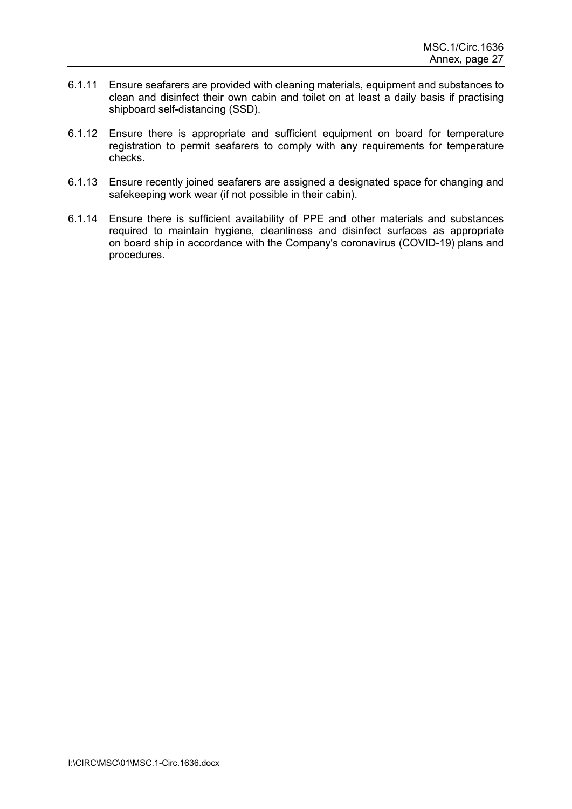- 6.1.11 Ensure seafarers are provided with cleaning materials, equipment and substances to clean and disinfect their own cabin and toilet on at least a daily basis if practising shipboard self-distancing (SSD).
- 6.1.12 Ensure there is appropriate and sufficient equipment on board for temperature registration to permit seafarers to comply with any requirements for temperature checks.
- 6.1.13 Ensure recently joined seafarers are assigned a designated space for changing and safekeeping work wear (if not possible in their cabin).
- 6.1.14 Ensure there is sufficient availability of PPE and other materials and substances required to maintain hygiene, cleanliness and disinfect surfaces as appropriate on board ship in accordance with the Company's coronavirus (COVID-19) plans and procedures.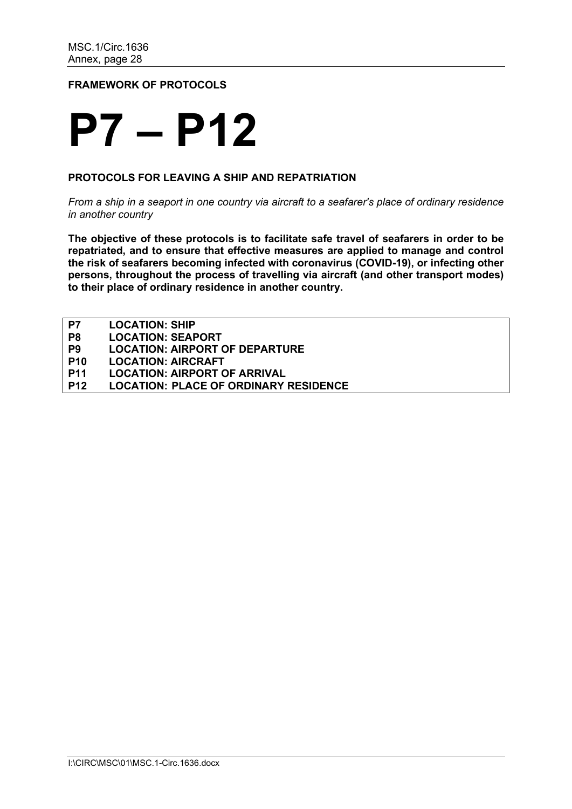### **FRAMEWORK OF PROTOCOLS**

### **P7 – P12**

### **PROTOCOLS FOR LEAVING A SHIP AND REPATRIATION**

*From a ship in a seaport in one country via aircraft to a seafarer's place of ordinary residence in another country*

**The objective of these protocols is to facilitate safe travel of seafarers in order to be repatriated, and to ensure that effective measures are applied to manage and control the risk of seafarers becoming infected with coronavirus (COVID-19), or infecting other persons, throughout the process of travelling via aircraft (and other transport modes) to their place of ordinary residence in another country.**

| P7         | <b>LOCATION: SHIP</b>                        |
|------------|----------------------------------------------|
| P8         | <b>LOCATION: SEAPORT</b>                     |
| P9         | <b>LOCATION: AIRPORT OF DEPARTURE</b>        |
| <b>P10</b> | <b>LOCATION: AIRCRAFT</b>                    |
| <b>P11</b> | <b>LOCATION: AIRPORT OF ARRIVAL</b>          |
| <b>P12</b> | <b>LOCATION: PLACE OF ORDINARY RESIDENCE</b> |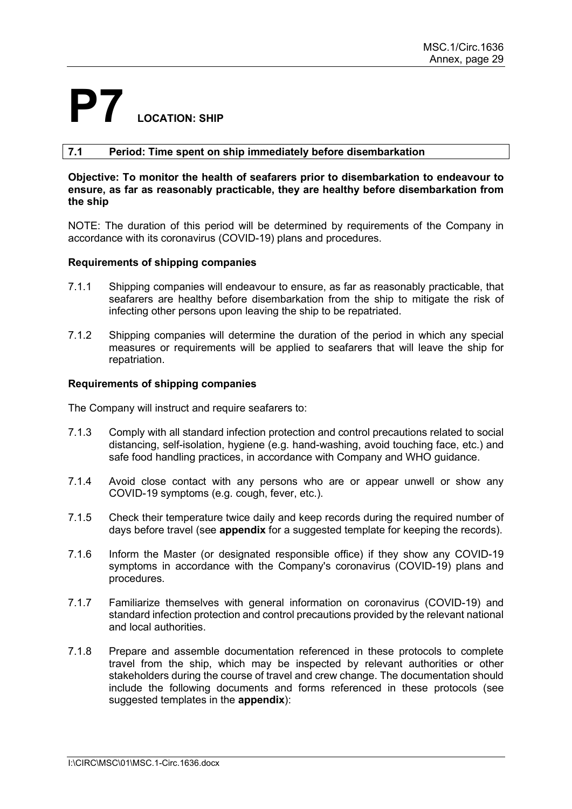## **P7 LOCATION: SHIP**

### **7.1 Period: Time spent on ship immediately before disembarkation**

### **Objective: To monitor the health of seafarers prior to disembarkation to endeavour to ensure, as far as reasonably practicable, they are healthy before disembarkation from the ship**

NOTE: The duration of this period will be determined by requirements of the Company in accordance with its coronavirus (COVID-19) plans and procedures.

### **Requirements of shipping companies**

- 7.1.1 Shipping companies will endeavour to ensure, as far as reasonably practicable, that seafarers are healthy before disembarkation from the ship to mitigate the risk of infecting other persons upon leaving the ship to be repatriated.
- 7.1.2 Shipping companies will determine the duration of the period in which any special measures or requirements will be applied to seafarers that will leave the ship for repatriation.

### **Requirements of shipping companies**

The Company will instruct and require seafarers to:

- 7.1.3 Comply with all standard infection protection and control precautions related to social distancing, self-isolation, hygiene (e.g. hand-washing, avoid touching face, etc.) and safe food handling practices, in accordance with Company and WHO guidance.
- 7.1.4 Avoid close contact with any persons who are or appear unwell or show any COVID-19 symptoms (e.g. cough, fever, etc.).
- 7.1.5 Check their temperature twice daily and keep records during the required number of days before travel (see **appendix** for a suggested template for keeping the records).
- 7.1.6 Inform the Master (or designated responsible office) if they show any COVID-19 symptoms in accordance with the Company's coronavirus (COVID-19) plans and procedures.
- 7.1.7 Familiarize themselves with general information on coronavirus (COVID-19) and standard infection protection and control precautions provided by the relevant national and local authorities.
- 7.1.8 Prepare and assemble documentation referenced in these protocols to complete travel from the ship, which may be inspected by relevant authorities or other stakeholders during the course of travel and crew change. The documentation should include the following documents and forms referenced in these protocols (see suggested templates in the **appendix**):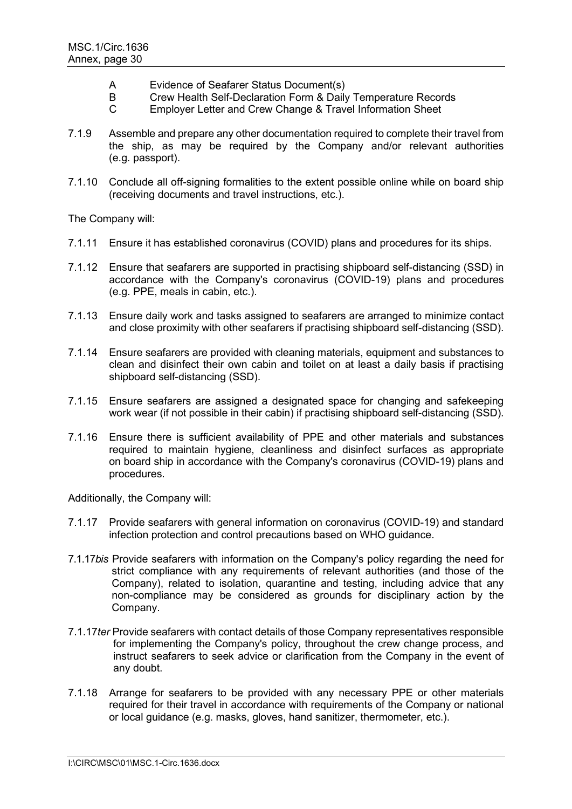- A Evidence of Seafarer Status Document(s)
- B Crew Health Self-Declaration Form & Daily Temperature Records
- C Employer Letter and Crew Change & Travel Information Sheet
- 7.1.9 Assemble and prepare any other documentation required to complete their travel from the ship, as may be required by the Company and/or relevant authorities (e.g. passport).
- 7.1.10 Conclude all off-signing formalities to the extent possible online while on board ship (receiving documents and travel instructions, etc.).

The Company will:

- 7.1.11 Ensure it has established coronavirus (COVID) plans and procedures for its ships.
- 7.1.12 Ensure that seafarers are supported in practising shipboard self-distancing (SSD) in accordance with the Company's coronavirus (COVID-19) plans and procedures (e.g. PPE, meals in cabin, etc.).
- 7.1.13 Ensure daily work and tasks assigned to seafarers are arranged to minimize contact and close proximity with other seafarers if practising shipboard self-distancing (SSD).
- 7.1.14 Ensure seafarers are provided with cleaning materials, equipment and substances to clean and disinfect their own cabin and toilet on at least a daily basis if practising shipboard self-distancing (SSD).
- 7.1.15 Ensure seafarers are assigned a designated space for changing and safekeeping work wear (if not possible in their cabin) if practising shipboard self-distancing (SSD).
- 7.1.16 Ensure there is sufficient availability of PPE and other materials and substances required to maintain hygiene, cleanliness and disinfect surfaces as appropriate on board ship in accordance with the Company's coronavirus (COVID-19) plans and procedures.

Additionally, the Company will:

- 7.1.17 Provide seafarers with general information on coronavirus (COVID-19) and standard infection protection and control precautions based on WHO guidance.
- 7.1.17*bis* Provide seafarers with information on the Company's policy regarding the need for strict compliance with any requirements of relevant authorities (and those of the Company), related to isolation, quarantine and testing, including advice that any non-compliance may be considered as grounds for disciplinary action by the Company.
- 7.1.17*ter* Provide seafarers with contact details of those Company representatives responsible for implementing the Companyʹs policy, throughout the crew change process, and instruct seafarers to seek advice or clarification from the Company in the event of any doubt.
- 7.1.18 Arrange for seafarers to be provided with any necessary PPE or other materials required for their travel in accordance with requirements of the Company or national or local guidance (e.g. masks, gloves, hand sanitizer, thermometer, etc.).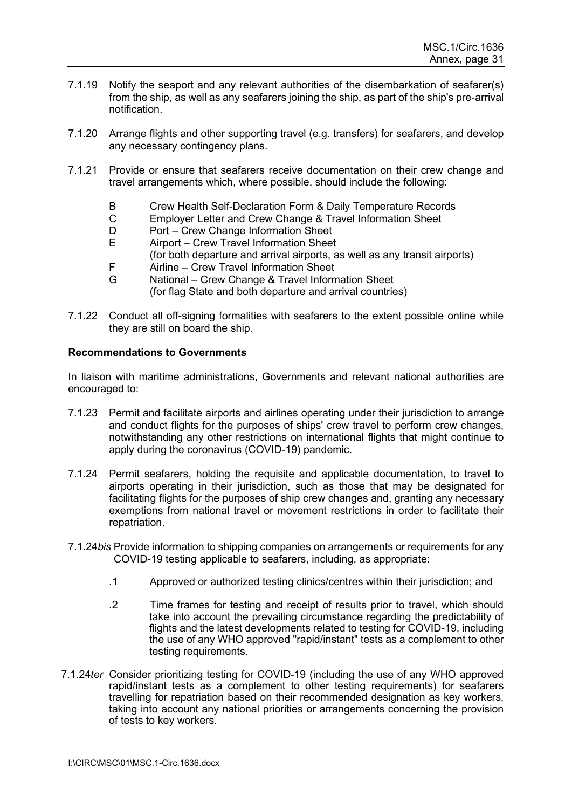- 7.1.19 Notify the seaport and any relevant authorities of the disembarkation of seafarer(s) from the ship, as well as any seafarers joining the ship, as part of the ship's pre-arrival notification.
- 7.1.20 Arrange flights and other supporting travel (e.g. transfers) for seafarers, and develop any necessary contingency plans.
- 7.1.21 Provide or ensure that seafarers receive documentation on their crew change and travel arrangements which, where possible, should include the following:
	- B Crew Health Self-Declaration Form & Daily Temperature Records
	- C Employer Letter and Crew Change & Travel Information Sheet<br>D Port Crew Change Information Sheet
	- D Port Crew Change Information Sheet<br>F Airport Crew Travel Information Sheet
	- Airport Crew Travel Information Sheet (for both departure and arrival airports, as well as any transit airports)
	- F Airline Crew Travel Information Sheet<br>G National Crew Change & Travel Inform
	- National Crew Change & Travel Information Sheet (for flag State and both departure and arrival countries)
- 7.1.22 Conduct all off-signing formalities with seafarers to the extent possible online while they are still on board the ship.

In liaison with maritime administrations, Governments and relevant national authorities are encouraged to:

- 7.1.23 Permit and facilitate airports and airlines operating under their jurisdiction to arrange and conduct flights for the purposes of ships' crew travel to perform crew changes, notwithstanding any other restrictions on international flights that might continue to apply during the coronavirus (COVID-19) pandemic.
- 7.1.24 Permit seafarers, holding the requisite and applicable documentation, to travel to airports operating in their jurisdiction, such as those that may be designated for facilitating flights for the purposes of ship crew changes and, granting any necessary exemptions from national travel or movement restrictions in order to facilitate their repatriation.
- 7.1.24*bis* Provide information to shipping companies on arrangements or requirements for any COVID-19 testing applicable to seafarers, including, as appropriate:
	- .1 Approved or authorized testing clinics/centres within their jurisdiction; and
	- .2 Time frames for testing and receipt of results prior to travel, which should take into account the prevailing circumstance regarding the predictability of flights and the latest developments related to testing for COVID-19, including the use of any WHO approved "rapid/instant" tests as a complement to other testing requirements.
- 7.1.24*ter* Consider prioritizing testing for COVID-19 (including the use of any WHO approved rapid/instant tests as a complement to other testing requirements) for seafarers travelling for repatriation based on their recommended designation as key workers, taking into account any national priorities or arrangements concerning the provision of tests to key workers.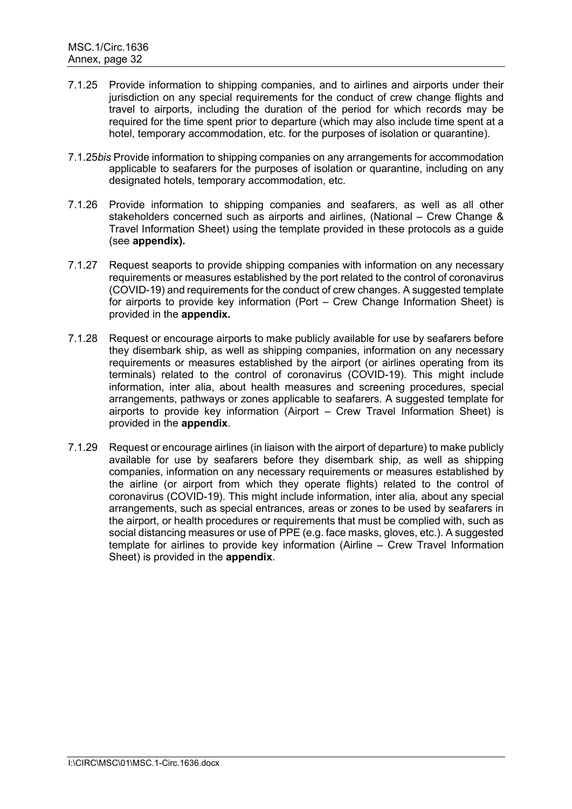- 7.1.25 Provide information to shipping companies, and to airlines and airports under their jurisdiction on any special requirements for the conduct of crew change flights and travel to airports, including the duration of the period for which records may be required for the time spent prior to departure (which may also include time spent at a hotel, temporary accommodation, etc. for the purposes of isolation or quarantine).
- 7.1.25*bis* Provide information to shipping companies on any arrangements for accommodation applicable to seafarers for the purposes of isolation or quarantine, including on any designated hotels, temporary accommodation, etc.
- 7.1.26 Provide information to shipping companies and seafarers, as well as all other stakeholders concerned such as airports and airlines, (National – Crew Change & Travel Information Sheet) using the template provided in these protocols as a guide (see **appendix).**
- 7.1.27 Request seaports to provide shipping companies with information on any necessary requirements or measures established by the port related to the control of coronavirus (COVID-19) and requirements for the conduct of crew changes. A suggested template for airports to provide key information (Port – Crew Change Information Sheet) is provided in the **appendix.**
- 7.1.28 Request or encourage airports to make publicly available for use by seafarers before they disembark ship, as well as shipping companies, information on any necessary requirements or measures established by the airport (or airlines operating from its terminals) related to the control of coronavirus (COVID-19). This might include information, inter alia, about health measures and screening procedures, special arrangements, pathways or zones applicable to seafarers. A suggested template for airports to provide key information (Airport – Crew Travel Information Sheet) is provided in the **appendix**.
- 7.1.29 Request or encourage airlines (in liaison with the airport of departure) to make publicly available for use by seafarers before they disembark ship, as well as shipping companies, information on any necessary requirements or measures established by the airline (or airport from which they operate flights) related to the control of coronavirus (COVID-19). This might include information, inter alia*,* about any special arrangements, such as special entrances, areas or zones to be used by seafarers in the airport, or health procedures or requirements that must be complied with, such as social distancing measures or use of PPE (e.g. face masks, gloves, etc.). A suggested template for airlines to provide key information (Airline – Crew Travel Information Sheet) is provided in the **appendix**.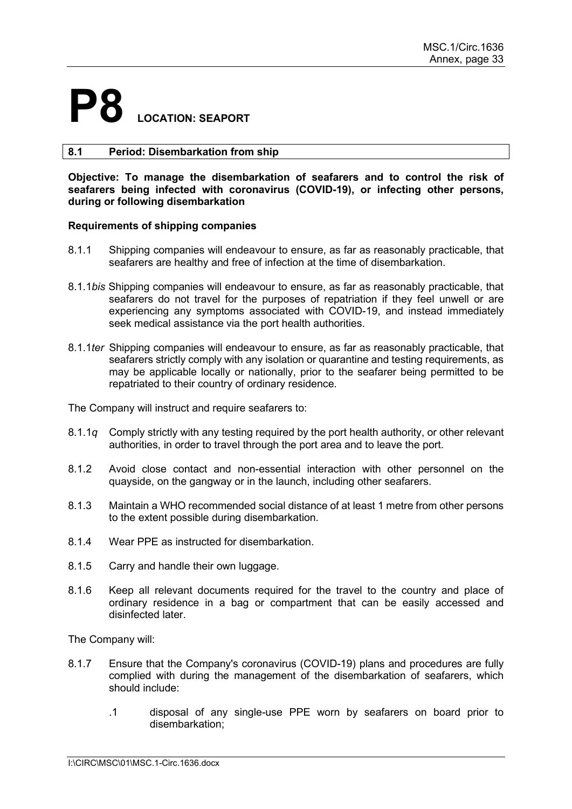### **P8 LOCATION: SEAPORT**

### **8.1 Period: Disembarkation from ship**

**Objective: To manage the disembarkation of seafarers and to control the risk of seafarers being infected with coronavirus (COVID-19), or infecting other persons, during or following disembarkation**

### **Requirements of shipping companies**

- 8.1.1 Shipping companies will endeavour to ensure, as far as reasonably practicable, that seafarers are healthy and free of infection at the time of disembarkation.
- 8.1.1*bis* Shipping companies will endeavour to ensure, as far as reasonably practicable, that seafarers do not travel for the purposes of repatriation if they feel unwell or are experiencing any symptoms associated with COVID-19, and instead immediately seek medical assistance via the port health authorities.
- 8.1.1*ter* Shipping companies will endeavour to ensure, as far as reasonably practicable, that seafarers strictly comply with any isolation or quarantine and testing requirements, as may be applicable locally or nationally, prior to the seafarer being permitted to be repatriated to their country of ordinary residence.

The Company will instruct and require seafarers to:

- 8.1.1*q* Comply strictly with any testing required by the port health authority, or other relevant authorities, in order to travel through the port area and to leave the port.
- 8.1.2 Avoid close contact and non-essential interaction with other personnel on the quayside, on the gangway or in the launch, including other seafarers.
- 8.1.3 Maintain a WHO recommended social distance of at least 1 metre from other persons to the extent possible during disembarkation.
- 8.1.4 Wear PPE as instructed for disembarkation.
- 8.1.5 Carry and handle their own luggage.
- 8.1.6 Keep all relevant documents required for the travel to the country and place of ordinary residence in a bag or compartment that can be easily accessed and disinfected later.

The Company will:

- 8.1.7 Ensure that the Company's coronavirus (COVID-19) plans and procedures are fully complied with during the management of the disembarkation of seafarers, which should include:
	- .1 disposal of any single-use PPE worn by seafarers on board prior to disembarkation;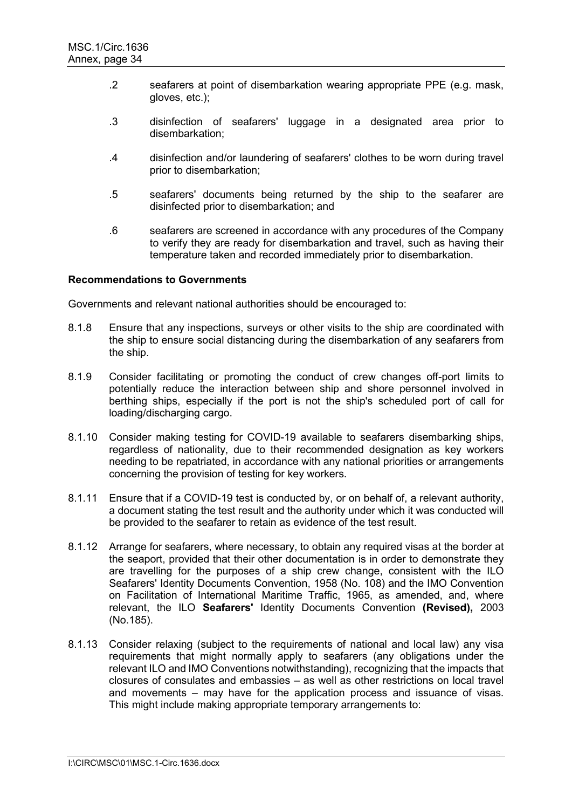- .2 seafarers at point of disembarkation wearing appropriate PPE (e.g. mask, gloves, etc.);
- .3 disinfection of seafarers' luggage in a designated area prior to disembarkation;
- .4 disinfection and/or laundering of seafarers' clothes to be worn during travel prior to disembarkation;
- .5 seafarers' documents being returned by the ship to the seafarer are disinfected prior to disembarkation; and
- .6 seafarers are screened in accordance with any procedures of the Company to verify they are ready for disembarkation and travel, such as having their temperature taken and recorded immediately prior to disembarkation.

Governments and relevant national authorities should be encouraged to:

- 8.1.8 Ensure that any inspections, surveys or other visits to the ship are coordinated with the ship to ensure social distancing during the disembarkation of any seafarers from the ship.
- 8.1.9 Consider facilitating or promoting the conduct of crew changes off-port limits to potentially reduce the interaction between ship and shore personnel involved in berthing ships, especially if the port is not the ship's scheduled port of call for loading/discharging cargo.
- 8.1.10 Consider making testing for COVID-19 available to seafarers disembarking ships, regardless of nationality, due to their recommended designation as key workers needing to be repatriated, in accordance with any national priorities or arrangements concerning the provision of testing for key workers.
- 8.1.11 Ensure that if a COVID-19 test is conducted by, or on behalf of, a relevant authority, a document stating the test result and the authority under which it was conducted will be provided to the seafarer to retain as evidence of the test result.
- 8.1.12 Arrange for seafarers, where necessary, to obtain any required visas at the border at the seaport, provided that their other documentation is in order to demonstrate they are travelling for the purposes of a ship crew change, consistent with the ILO Seafarers' Identity Documents Convention, 1958 (No. 108) and the IMO Convention on Facilitation of International Maritime Traffic, 1965, as amended, and, where relevant, the ILO **Seafarers'** Identity Documents Convention **(Revised),** 2003 (No.185).
- 8.1.13 Consider relaxing (subject to the requirements of national and local law) any visa requirements that might normally apply to seafarers (any obligations under the relevant ILO and IMO Conventions notwithstanding), recognizing that the impacts that closures of consulates and embassies – as well as other restrictions on local travel and movements – may have for the application process and issuance of visas. This might include making appropriate temporary arrangements to: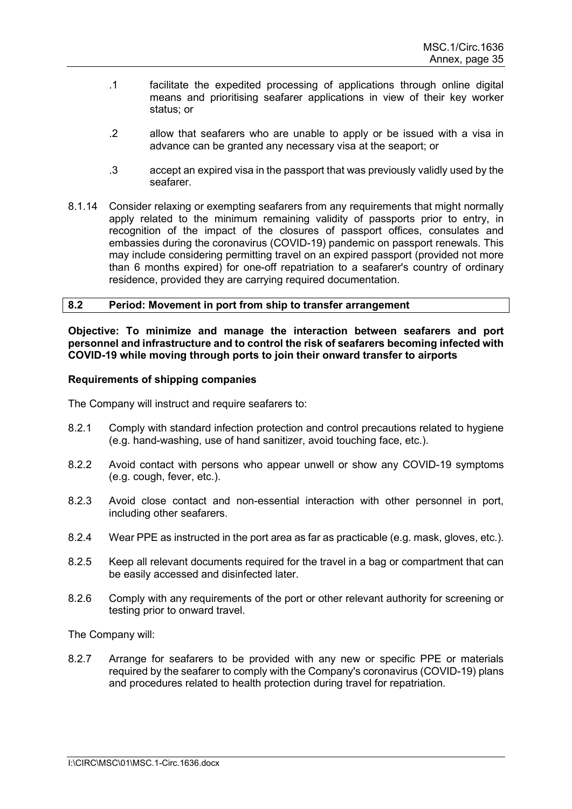- .1 facilitate the expedited processing of applications through online digital means and prioritising seafarer applications in view of their key worker status; or
- .2 allow that seafarers who are unable to apply or be issued with a visa in advance can be granted any necessary visa at the seaport; or
- .3 accept an expired visa in the passport that was previously validly used by the seafarer.
- 8.1.14 Consider relaxing or exempting seafarers from any requirements that might normally apply related to the minimum remaining validity of passports prior to entry, in recognition of the impact of the closures of passport offices, consulates and embassies during the coronavirus (COVID-19) pandemic on passport renewals. This may include considering permitting travel on an expired passport (provided not more than 6 months expired) for one-off repatriation to a seafarer's country of ordinary residence, provided they are carrying required documentation.

### **8.2 Period: Movement in port from ship to transfer arrangement**

**Objective: To minimize and manage the interaction between seafarers and port personnel and infrastructure and to control the risk of seafarers becoming infected with COVID-19 while moving through ports to join their onward transfer to airports**

### **Requirements of shipping companies**

The Company will instruct and require seafarers to:

- 8.2.1 Comply with standard infection protection and control precautions related to hygiene (e.g. hand-washing, use of hand sanitizer, avoid touching face, etc.).
- 8.2.2 Avoid contact with persons who appear unwell or show any COVID-19 symptoms (e.g. cough, fever, etc.).
- 8.2.3 Avoid close contact and non-essential interaction with other personnel in port, including other seafarers.
- 8.2.4 Wear PPE as instructed in the port area as far as practicable (e.g. mask, gloves, etc.).
- 8.2.5 Keep all relevant documents required for the travel in a bag or compartment that can be easily accessed and disinfected later.
- 8.2.6 Comply with any requirements of the port or other relevant authority for screening or testing prior to onward travel.

The Company will:

8.2.7 Arrange for seafarers to be provided with any new or specific PPE or materials required by the seafarer to comply with the Company's coronavirus (COVID-19) plans and procedures related to health protection during travel for repatriation.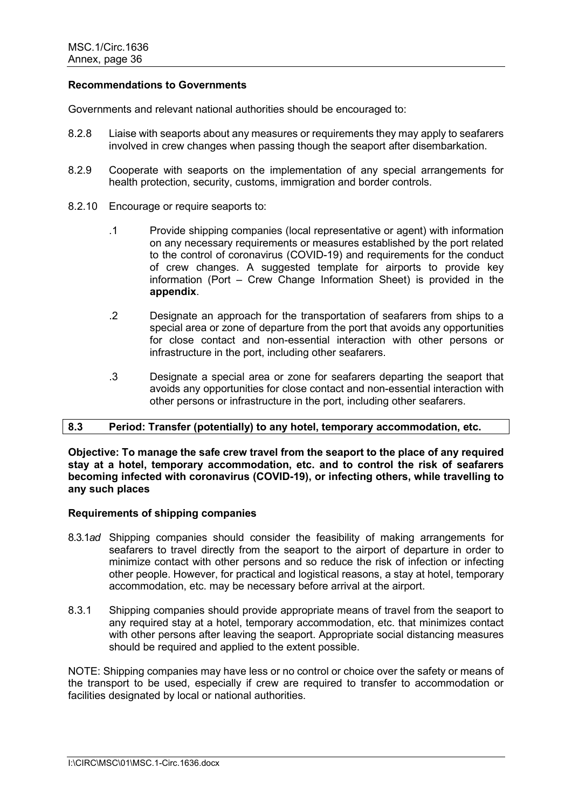Governments and relevant national authorities should be encouraged to:

- 8.2.8 Liaise with seaports about any measures or requirements they may apply to seafarers involved in crew changes when passing though the seaport after disembarkation.
- 8.2.9 Cooperate with seaports on the implementation of any special arrangements for health protection, security, customs, immigration and border controls.
- 8.2.10 Encourage or require seaports to:
	- .1 Provide shipping companies (local representative or agent) with information on any necessary requirements or measures established by the port related to the control of coronavirus (COVID-19) and requirements for the conduct of crew changes. A suggested template for airports to provide key information (Port – Crew Change Information Sheet) is provided in the **appendix**.
	- .2 Designate an approach for the transportation of seafarers from ships to a special area or zone of departure from the port that avoids any opportunities for close contact and non-essential interaction with other persons or infrastructure in the port, including other seafarers.
	- .3 Designate a special area or zone for seafarers departing the seaport that avoids any opportunities for close contact and non-essential interaction with other persons or infrastructure in the port, including other seafarers.

### **8.3 Period: Transfer (potentially) to any hotel, temporary accommodation, etc.**

**Objective: To manage the safe crew travel from the seaport to the place of any required stay at a hotel, temporary accommodation, etc. and to control the risk of seafarers becoming infected with coronavirus (COVID-19), or infecting others, while travelling to any such places**

### **Requirements of shipping companies**

- 8.3.1*ad* Shipping companies should consider the feasibility of making arrangements for seafarers to travel directly from the seaport to the airport of departure in order to minimize contact with other persons and so reduce the risk of infection or infecting other people. However, for practical and logistical reasons, a stay at hotel, temporary accommodation, etc. may be necessary before arrival at the airport.
- 8.3.1 Shipping companies should provide appropriate means of travel from the seaport to any required stay at a hotel, temporary accommodation, etc. that minimizes contact with other persons after leaving the seaport. Appropriate social distancing measures should be required and applied to the extent possible.

NOTE: Shipping companies may have less or no control or choice over the safety or means of the transport to be used, especially if crew are required to transfer to accommodation or facilities designated by local or national authorities.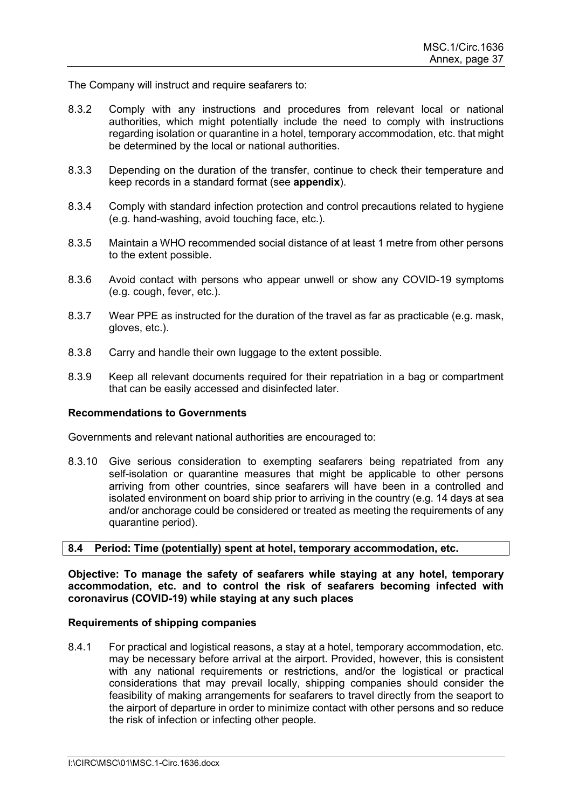The Company will instruct and require seafarers to:

- 8.3.2 Comply with any instructions and procedures from relevant local or national authorities, which might potentially include the need to comply with instructions regarding isolation or quarantine in a hotel, temporary accommodation, etc. that might be determined by the local or national authorities.
- 8.3.3 Depending on the duration of the transfer, continue to check their temperature and keep records in a standard format (see **appendix**).
- 8.3.4 Comply with standard infection protection and control precautions related to hygiene (e.g. hand-washing, avoid touching face, etc.).
- 8.3.5 Maintain a WHO recommended social distance of at least 1 metre from other persons to the extent possible.
- 8.3.6 Avoid contact with persons who appear unwell or show any COVID-19 symptoms (e.g. cough, fever, etc.).
- 8.3.7 Wear PPE as instructed for the duration of the travel as far as practicable (e.g. mask, gloves, etc.).
- 8.3.8 Carry and handle their own luggage to the extent possible.
- 8.3.9 Keep all relevant documents required for their repatriation in a bag or compartment that can be easily accessed and disinfected later.

### **Recommendations to Governments**

Governments and relevant national authorities are encouraged to:

8.3.10 Give serious consideration to exempting seafarers being repatriated from any self-isolation or quarantine measures that might be applicable to other persons arriving from other countries, since seafarers will have been in a controlled and isolated environment on board ship prior to arriving in the country (e.g. 14 days at sea and/or anchorage could be considered or treated as meeting the requirements of any quarantine period).

### **8.4 Period: Time (potentially) spent at hotel, temporary accommodation, etc.**

**Objective: To manage the safety of seafarers while staying at any hotel, temporary accommodation, etc. and to control the risk of seafarers becoming infected with coronavirus (COVID-19) while staying at any such places**

### **Requirements of shipping companies**

8.4.1 For practical and logistical reasons, a stay at a hotel, temporary accommodation, etc. may be necessary before arrival at the airport. Provided, however, this is consistent with any national requirements or restrictions, and/or the logistical or practical considerations that may prevail locally, shipping companies should consider the feasibility of making arrangements for seafarers to travel directly from the seaport to the airport of departure in order to minimize contact with other persons and so reduce the risk of infection or infecting other people.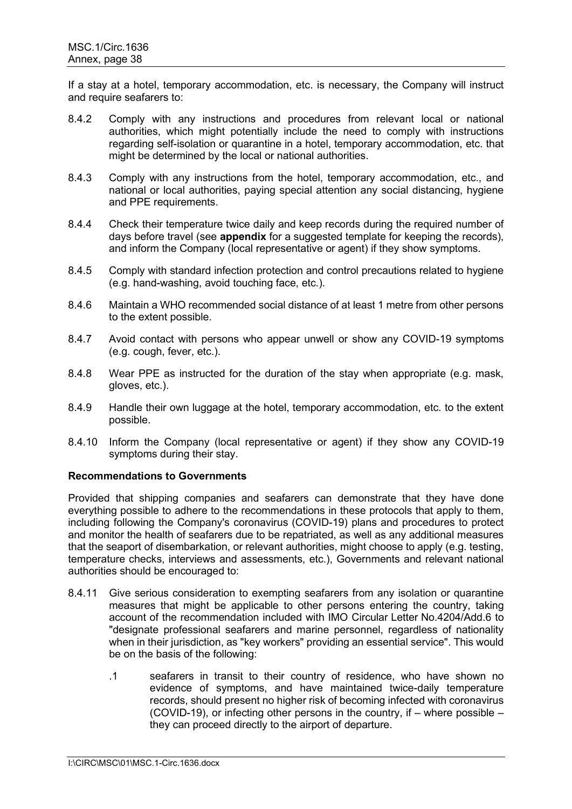If a stay at a hotel, temporary accommodation, etc. is necessary, the Company will instruct and require seafarers to:

- 8.4.2 Comply with any instructions and procedures from relevant local or national authorities, which might potentially include the need to comply with instructions regarding self-isolation or quarantine in a hotel, temporary accommodation, etc. that might be determined by the local or national authorities.
- 8.4.3 Comply with any instructions from the hotel, temporary accommodation, etc., and national or local authorities, paying special attention any social distancing, hygiene and PPE requirements.
- 8.4.4 Check their temperature twice daily and keep records during the required number of days before travel (see **appendix** for a suggested template for keeping the records), and inform the Company (local representative or agent) if they show symptoms.
- 8.4.5 Comply with standard infection protection and control precautions related to hygiene (e.g. hand-washing, avoid touching face, etc.).
- 8.4.6 Maintain a WHO recommended social distance of at least 1 metre from other persons to the extent possible.
- 8.4.7 Avoid contact with persons who appear unwell or show any COVID-19 symptoms (e.g. cough, fever, etc.).
- 8.4.8 Wear PPE as instructed for the duration of the stay when appropriate (e.g. mask, gloves, etc.).
- 8.4.9 Handle their own luggage at the hotel, temporary accommodation, etc. to the extent possible.
- 8.4.10 Inform the Company (local representative or agent) if they show any COVID-19 symptoms during their stay.

### **Recommendations to Governments**

Provided that shipping companies and seafarers can demonstrate that they have done everything possible to adhere to the recommendations in these protocols that apply to them, including following the Company's coronavirus (COVID-19) plans and procedures to protect and monitor the health of seafarers due to be repatriated, as well as any additional measures that the seaport of disembarkation, or relevant authorities, might choose to apply (e.g. testing, temperature checks, interviews and assessments, etc.), Governments and relevant national authorities should be encouraged to:

- 8.4.11 Give serious consideration to exempting seafarers from any isolation or quarantine measures that might be applicable to other persons entering the country, taking account of the recommendation included with IMO Circular Letter No.4204/Add.6 to "designate professional seafarers and marine personnel, regardless of nationality when in their jurisdiction, as "key workers" providing an essential service". This would be on the basis of the following:
	- .1 seafarers in transit to their country of residence, who have shown no evidence of symptoms, and have maintained twice-daily temperature records, should present no higher risk of becoming infected with coronavirus (COVID-19), or infecting other persons in the country, if – where possible – they can proceed directly to the airport of departure.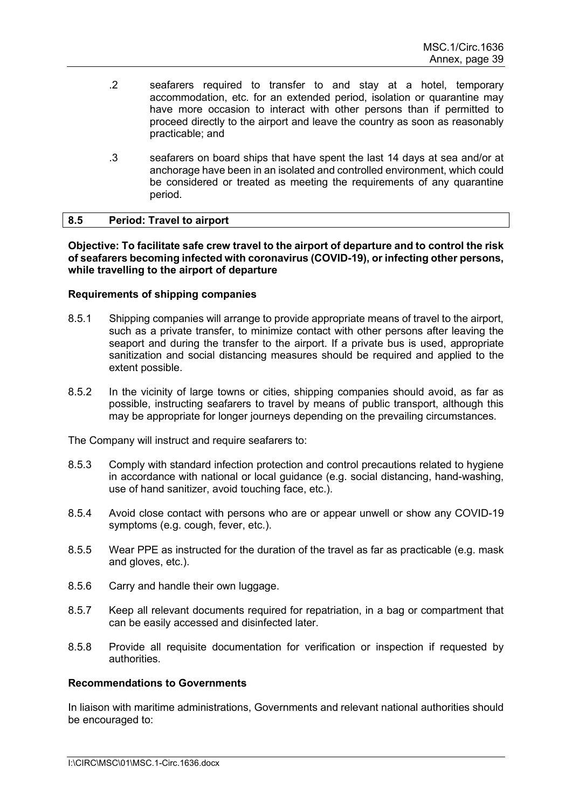- .2 seafarers required to transfer to and stay at a hotel, temporary accommodation, etc. for an extended period, isolation or quarantine may have more occasion to interact with other persons than if permitted to proceed directly to the airport and leave the country as soon as reasonably practicable; and
- .3 seafarers on board ships that have spent the last 14 days at sea and/or at anchorage have been in an isolated and controlled environment, which could be considered or treated as meeting the requirements of any quarantine period.

### **8.5 Period: Travel to airport**

**Objective: To facilitate safe crew travel to the airport of departure and to control the risk of seafarers becoming infected with coronavirus (COVID-19), or infecting other persons, while travelling to the airport of departure**

### **Requirements of shipping companies**

- 8.5.1 Shipping companies will arrange to provide appropriate means of travel to the airport, such as a private transfer, to minimize contact with other persons after leaving the seaport and during the transfer to the airport. If a private bus is used, appropriate sanitization and social distancing measures should be required and applied to the extent possible.
- 8.5.2 In the vicinity of large towns or cities, shipping companies should avoid, as far as possible, instructing seafarers to travel by means of public transport, although this may be appropriate for longer journeys depending on the prevailing circumstances.

The Company will instruct and require seafarers to:

- 8.5.3 Comply with standard infection protection and control precautions related to hygiene in accordance with national or local guidance (e.g. social distancing, hand-washing, use of hand sanitizer, avoid touching face, etc.).
- 8.5.4 Avoid close contact with persons who are or appear unwell or show any COVID-19 symptoms (e.g. cough, fever, etc.).
- 8.5.5 Wear PPE as instructed for the duration of the travel as far as practicable (e.g. mask and gloves, etc.).
- 8.5.6 Carry and handle their own luggage.
- 8.5.7 Keep all relevant documents required for repatriation, in a bag or compartment that can be easily accessed and disinfected later.
- 8.5.8 Provide all requisite documentation for verification or inspection if requested by authorities.

### **Recommendations to Governments**

In liaison with maritime administrations, Governments and relevant national authorities should be encouraged to: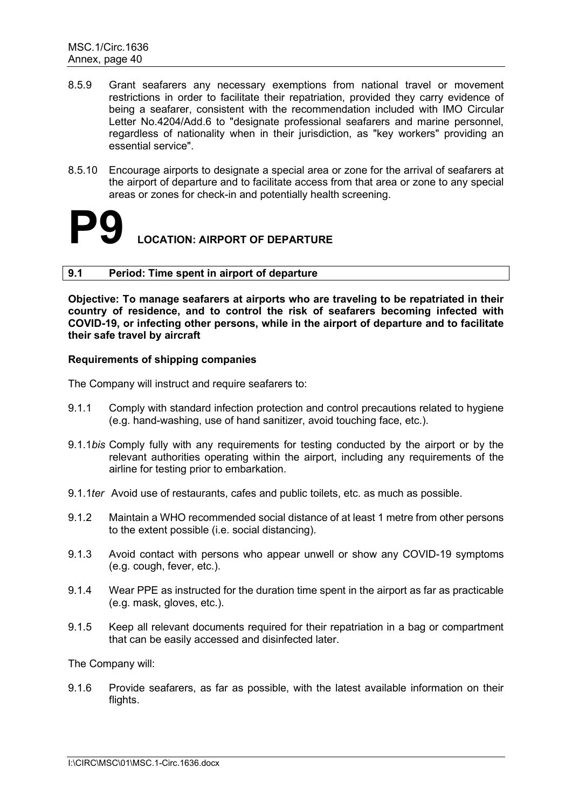- 8.5.9 Grant seafarers any necessary exemptions from national travel or movement restrictions in order to facilitate their repatriation, provided they carry evidence of being a seafarer, consistent with the recommendation included with IMO Circular Letter No.4204/Add.6 to "designate professional seafarers and marine personnel, regardless of nationality when in their jurisdiction, as "key workers" providing an essential service".
- 8.5.10 Encourage airports to designate a special area or zone for the arrival of seafarers at the airport of departure and to facilitate access from that area or zone to any special areas or zones for check-in and potentially health screening.

### **LOCATION: AIRPORT OF DEPARTURE**

### **9.1 Period: Time spent in airport of departure**

**Objective: To manage seafarers at airports who are traveling to be repatriated in their country of residence, and to control the risk of seafarers becoming infected with COVID-19, or infecting other persons, while in the airport of departure and to facilitate their safe travel by aircraft**

### **Requirements of shipping companies**

The Company will instruct and require seafarers to:

- 9.1.1 Comply with standard infection protection and control precautions related to hygiene (e.g. hand-washing, use of hand sanitizer, avoid touching face, etc.).
- 9.1.1*bis* Comply fully with any requirements for testing conducted by the airport or by the relevant authorities operating within the airport, including any requirements of the airline for testing prior to embarkation.
- 9.1.1*ter* Avoid use of restaurants, cafes and public toilets, etc. as much as possible.
- 9.1.2 Maintain a WHO recommended social distance of at least 1 metre from other persons to the extent possible (i.e. social distancing).
- 9.1.3 Avoid contact with persons who appear unwell or show any COVID-19 symptoms (e.g. cough, fever, etc.).
- 9.1.4 Wear PPE as instructed for the duration time spent in the airport as far as practicable (e.g. mask, gloves, etc.).
- 9.1.5 Keep all relevant documents required for their repatriation in a bag or compartment that can be easily accessed and disinfected later.

The Company will:

9.1.6 Provide seafarers, as far as possible, with the latest available information on their flights.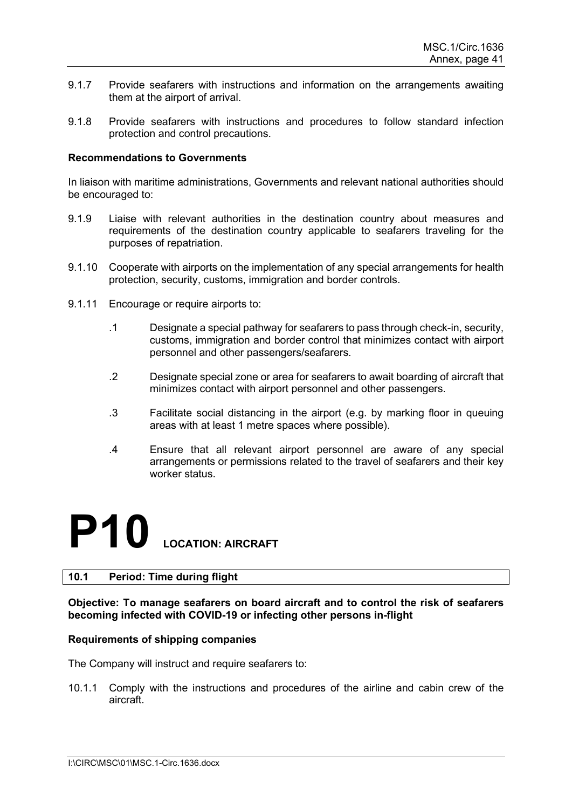- 9.1.7 Provide seafarers with instructions and information on the arrangements awaiting them at the airport of arrival.
- 9.1.8 Provide seafarers with instructions and procedures to follow standard infection protection and control precautions.

In liaison with maritime administrations, Governments and relevant national authorities should be encouraged to:

- 9.1.9 Liaise with relevant authorities in the destination country about measures and requirements of the destination country applicable to seafarers traveling for the purposes of repatriation.
- 9.1.10 Cooperate with airports on the implementation of any special arrangements for health protection, security, customs, immigration and border controls.
- 9.1.11 Encourage or require airports to:
	- .1 Designate a special pathway for seafarers to pass through check-in, security, customs, immigration and border control that minimizes contact with airport personnel and other passengers/seafarers.
	- .2 Designate special zone or area for seafarers to await boarding of aircraft that minimizes contact with airport personnel and other passengers.
	- .3 Facilitate social distancing in the airport (e.g. by marking floor in queuing areas with at least 1 metre spaces where possible).
	- .4 Ensure that all relevant airport personnel are aware of any special arrangements or permissions related to the travel of seafarers and their key worker status.

### **P10 LOCATION: AIRCRAFT**

### **10.1 Period: Time during flight**

### **Objective: To manage seafarers on board aircraft and to control the risk of seafarers becoming infected with COVID-19 or infecting other persons in-flight**

### **Requirements of shipping companies**

The Company will instruct and require seafarers to:

10.1.1 Comply with the instructions and procedures of the airline and cabin crew of the aircraft.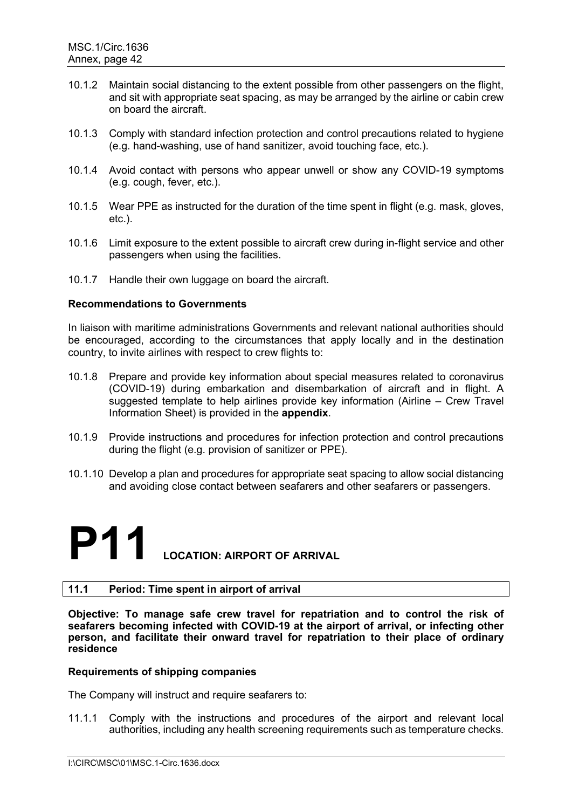- 10.1.2 Maintain social distancing to the extent possible from other passengers on the flight, and sit with appropriate seat spacing, as may be arranged by the airline or cabin crew on board the aircraft.
- 10.1.3 Comply with standard infection protection and control precautions related to hygiene (e.g. hand-washing, use of hand sanitizer, avoid touching face, etc.).
- 10.1.4 Avoid contact with persons who appear unwell or show any COVID-19 symptoms (e.g. cough, fever, etc.).
- 10.1.5 Wear PPE as instructed for the duration of the time spent in flight (e.g. mask, gloves, etc.).
- 10.1.6 Limit exposure to the extent possible to aircraft crew during in-flight service and other passengers when using the facilities.
- 10.1.7 Handle their own luggage on board the aircraft.

In liaison with maritime administrations Governments and relevant national authorities should be encouraged, according to the circumstances that apply locally and in the destination country, to invite airlines with respect to crew flights to:

- 10.1.8 Prepare and provide key information about special measures related to coronavirus (COVID-19) during embarkation and disembarkation of aircraft and in flight. A suggested template to help airlines provide key information (Airline – Crew Travel Information Sheet) is provided in the **appendix**.
- 10.1.9 Provide instructions and procedures for infection protection and control precautions during the flight (e.g. provision of sanitizer or PPE).
- 10.1.10 Develop a plan and procedures for appropriate seat spacing to allow social distancing and avoiding close contact between seafarers and other seafarers or passengers.

### **P11** LOCATION: AIRPORT OF ARRIVAL

### **11.1 Period: Time spent in airport of arrival**

**Objective: To manage safe crew travel for repatriation and to control the risk of seafarers becoming infected with COVID-19 at the airport of arrival, or infecting other person, and facilitate their onward travel for repatriation to their place of ordinary residence**

### **Requirements of shipping companies**

The Company will instruct and require seafarers to:

11.1.1 Comply with the instructions and procedures of the airport and relevant local authorities, including any health screening requirements such as temperature checks.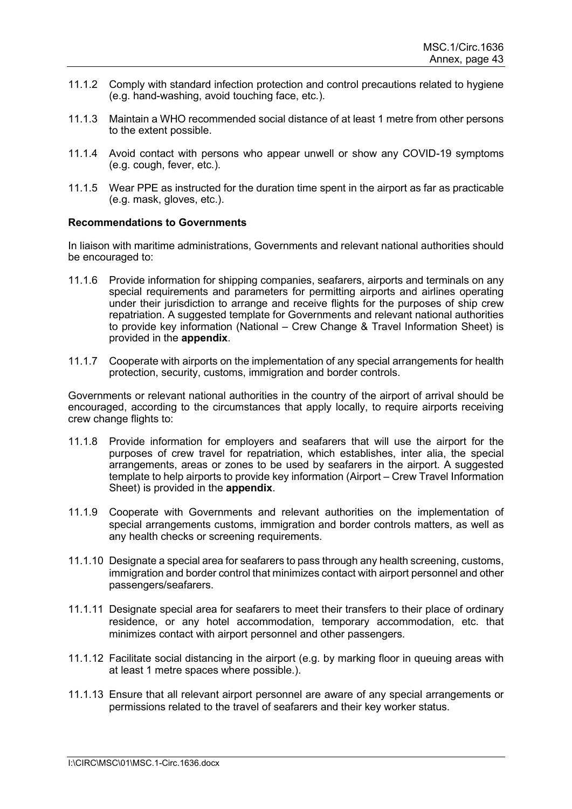- 11.1.2 Comply with standard infection protection and control precautions related to hygiene (e.g. hand-washing, avoid touching face, etc.).
- 11.1.3 Maintain a WHO recommended social distance of at least 1 metre from other persons to the extent possible.
- 11.1.4 Avoid contact with persons who appear unwell or show any COVID-19 symptoms (e.g. cough, fever, etc.).
- 11.1.5 Wear PPE as instructed for the duration time spent in the airport as far as practicable (e.g. mask, gloves, etc.).

In liaison with maritime administrations, Governments and relevant national authorities should be encouraged to:

- 11.1.6 Provide information for shipping companies, seafarers, airports and terminals on any special requirements and parameters for permitting airports and airlines operating under their jurisdiction to arrange and receive flights for the purposes of ship crew repatriation. A suggested template for Governments and relevant national authorities to provide key information (National – Crew Change & Travel Information Sheet) is provided in the **appendix**.
- 11.1.7 Cooperate with airports on the implementation of any special arrangements for health protection, security, customs, immigration and border controls.

Governments or relevant national authorities in the country of the airport of arrival should be encouraged, according to the circumstances that apply locally, to require airports receiving crew change flights to:

- 11.1.8 Provide information for employers and seafarers that will use the airport for the purposes of crew travel for repatriation, which establishes, inter alia, the special arrangements, areas or zones to be used by seafarers in the airport. A suggested template to help airports to provide key information (Airport – Crew Travel Information Sheet) is provided in the **appendix**.
- 11.1.9 Cooperate with Governments and relevant authorities on the implementation of special arrangements customs, immigration and border controls matters, as well as any health checks or screening requirements.
- 11.1.10 Designate a special area for seafarers to pass through any health screening, customs, immigration and border control that minimizes contact with airport personnel and other passengers/seafarers.
- 11.1.11 Designate special area for seafarers to meet their transfers to their place of ordinary residence, or any hotel accommodation, temporary accommodation, etc. that minimizes contact with airport personnel and other passengers.
- 11.1.12 Facilitate social distancing in the airport (e.g. by marking floor in queuing areas with at least 1 metre spaces where possible.).
- 11.1.13 Ensure that all relevant airport personnel are aware of any special arrangements or permissions related to the travel of seafarers and their key worker status.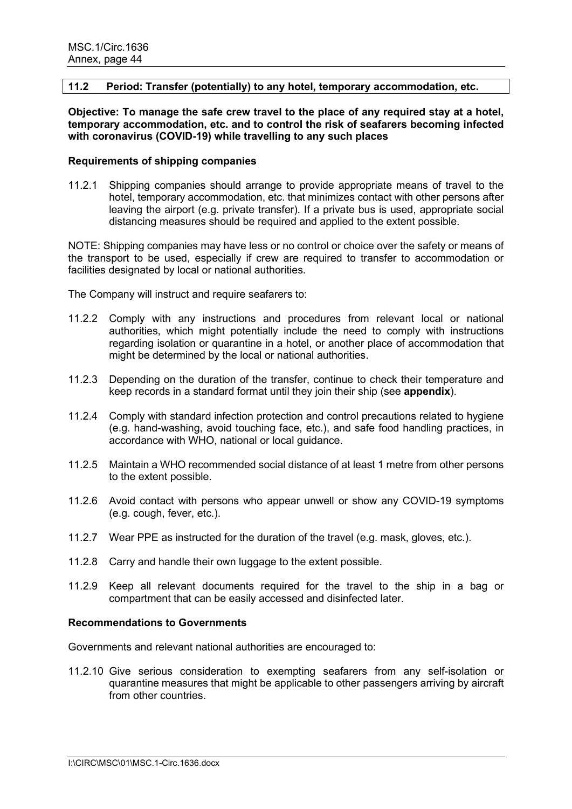### **11.2 Period: Transfer (potentially) to any hotel, temporary accommodation, etc.**

**Objective: To manage the safe crew travel to the place of any required stay at a hotel, temporary accommodation, etc. and to control the risk of seafarers becoming infected with coronavirus (COVID-19) while travelling to any such places**

### **Requirements of shipping companies**

11.2.1 Shipping companies should arrange to provide appropriate means of travel to the hotel, temporary accommodation, etc. that minimizes contact with other persons after leaving the airport (e.g. private transfer). If a private bus is used, appropriate social distancing measures should be required and applied to the extent possible.

NOTE: Shipping companies may have less or no control or choice over the safety or means of the transport to be used, especially if crew are required to transfer to accommodation or facilities designated by local or national authorities.

The Company will instruct and require seafarers to:

- 11.2.2 Comply with any instructions and procedures from relevant local or national authorities, which might potentially include the need to comply with instructions regarding isolation or quarantine in a hotel, or another place of accommodation that might be determined by the local or national authorities.
- 11.2.3 Depending on the duration of the transfer, continue to check their temperature and keep records in a standard format until they join their ship (see **appendix**).
- 11.2.4 Comply with standard infection protection and control precautions related to hygiene (e.g. hand-washing, avoid touching face, etc.), and safe food handling practices, in accordance with WHO, national or local guidance.
- 11.2.5 Maintain a WHO recommended social distance of at least 1 metre from other persons to the extent possible.
- 11.2.6 Avoid contact with persons who appear unwell or show any COVID-19 symptoms (e.g. cough, fever, etc.).
- 11.2.7 Wear PPE as instructed for the duration of the travel (e.g. mask, gloves, etc.).
- 11.2.8 Carry and handle their own luggage to the extent possible.
- 11.2.9 Keep all relevant documents required for the travel to the ship in a bag or compartment that can be easily accessed and disinfected later.

### **Recommendations to Governments**

Governments and relevant national authorities are encouraged to:

11.2.10 Give serious consideration to exempting seafarers from any self-isolation or quarantine measures that might be applicable to other passengers arriving by aircraft from other countries.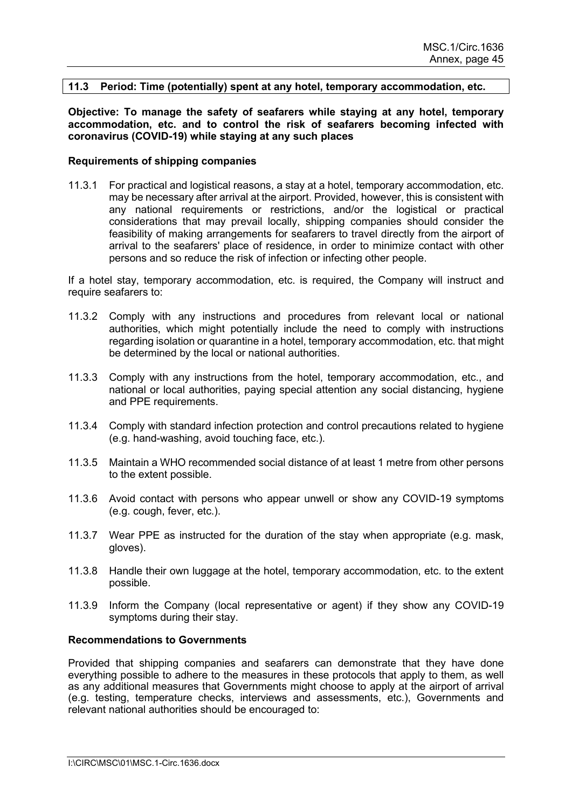### **11.3 Period: Time (potentially) spent at any hotel, temporary accommodation, etc.**

**Objective: To manage the safety of seafarers while staying at any hotel, temporary accommodation, etc. and to control the risk of seafarers becoming infected with coronavirus (COVID-19) while staying at any such places**

#### **Requirements of shipping companies**

11.3.1 For practical and logistical reasons, a stay at a hotel, temporary accommodation, etc. may be necessary after arrival at the airport. Provided, however, this is consistent with any national requirements or restrictions, and/or the logistical or practical considerations that may prevail locally, shipping companies should consider the feasibility of making arrangements for seafarers to travel directly from the airport of arrival to the seafarers' place of residence, in order to minimize contact with other persons and so reduce the risk of infection or infecting other people.

If a hotel stay, temporary accommodation, etc. is required, the Company will instruct and require seafarers to:

- 11.3.2 Comply with any instructions and procedures from relevant local or national authorities, which might potentially include the need to comply with instructions regarding isolation or quarantine in a hotel, temporary accommodation, etc. that might be determined by the local or national authorities.
- 11.3.3 Comply with any instructions from the hotel, temporary accommodation, etc., and national or local authorities, paying special attention any social distancing, hygiene and PPE requirements.
- 11.3.4 Comply with standard infection protection and control precautions related to hygiene (e.g. hand-washing, avoid touching face, etc.).
- 11.3.5 Maintain a WHO recommended social distance of at least 1 metre from other persons to the extent possible.
- 11.3.6 Avoid contact with persons who appear unwell or show any COVID-19 symptoms (e.g. cough, fever, etc.).
- 11.3.7 Wear PPE as instructed for the duration of the stay when appropriate (e.g. mask, gloves).
- 11.3.8 Handle their own luggage at the hotel, temporary accommodation, etc. to the extent possible.
- 11.3.9 Inform the Company (local representative or agent) if they show any COVID-19 symptoms during their stay.

#### **Recommendations to Governments**

Provided that shipping companies and seafarers can demonstrate that they have done everything possible to adhere to the measures in these protocols that apply to them, as well as any additional measures that Governments might choose to apply at the airport of arrival (e.g. testing, temperature checks, interviews and assessments, etc.), Governments and relevant national authorities should be encouraged to: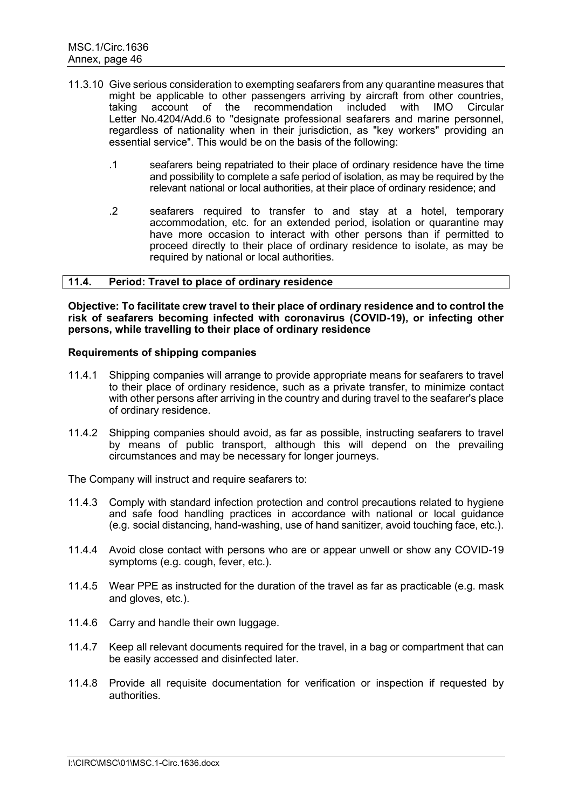- 11.3.10 Give serious consideration to exempting seafarers from any quarantine measures that might be applicable to other passengers arriving by aircraft from other countries, taking account of the recommendation included with IMO Circular Letter No.4204/Add.6 to "designate professional seafarers and marine personnel, regardless of nationality when in their jurisdiction, as "key workers" providing an essential service". This would be on the basis of the following:
	- .1 seafarers being repatriated to their place of ordinary residence have the time and possibility to complete a safe period of isolation, as may be required by the relevant national or local authorities, at their place of ordinary residence; and
	- .2 seafarers required to transfer to and stay at a hotel, temporary accommodation, etc. for an extended period, isolation or quarantine may have more occasion to interact with other persons than if permitted to proceed directly to their place of ordinary residence to isolate, as may be required by national or local authorities.

### **11.4. Period: Travel to place of ordinary residence**

**Objective: To facilitate crew travel to their place of ordinary residence and to control the risk of seafarers becoming infected with coronavirus (COVID-19), or infecting other persons, while travelling to their place of ordinary residence**

### **Requirements of shipping companies**

- 11.4.1 Shipping companies will arrange to provide appropriate means for seafarers to travel to their place of ordinary residence, such as a private transfer, to minimize contact with other persons after arriving in the country and during travel to the seafarer's place of ordinary residence.
- 11.4.2 Shipping companies should avoid, as far as possible, instructing seafarers to travel by means of public transport, although this will depend on the prevailing circumstances and may be necessary for longer journeys.

The Company will instruct and require seafarers to:

- 11.4.3 Comply with standard infection protection and control precautions related to hygiene and safe food handling practices in accordance with national or local guidance (e.g. social distancing, hand-washing, use of hand sanitizer, avoid touching face, etc.).
- 11.4.4 Avoid close contact with persons who are or appear unwell or show any COVID-19 symptoms (e.g. cough, fever, etc.).
- 11.4.5 Wear PPE as instructed for the duration of the travel as far as practicable (e.g. mask and gloves, etc.).
- 11.4.6 Carry and handle their own luggage.
- 11.4.7 Keep all relevant documents required for the travel, in a bag or compartment that can be easily accessed and disinfected later.
- 11.4.8 Provide all requisite documentation for verification or inspection if requested by authorities.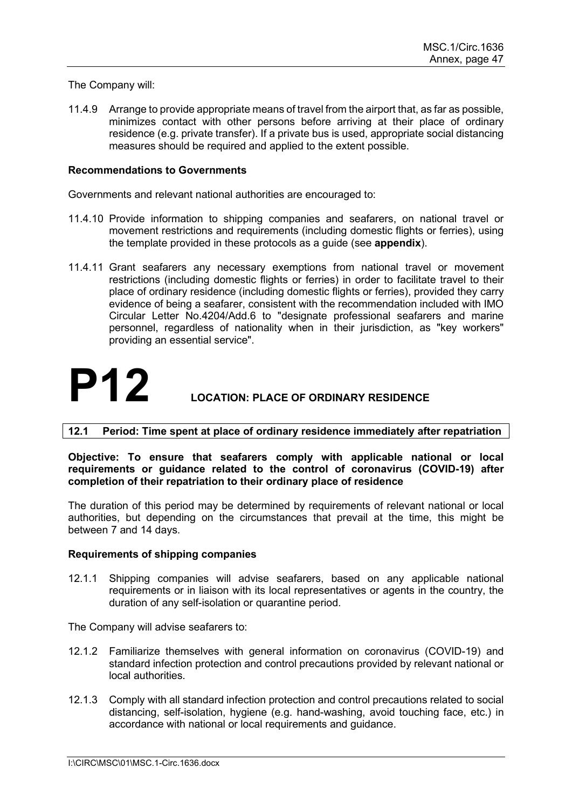### The Company will:

11.4.9 Arrange to provide appropriate means of travel from the airport that, as far as possible, minimizes contact with other persons before arriving at their place of ordinary residence (e.g. private transfer). If a private bus is used, appropriate social distancing measures should be required and applied to the extent possible.

### **Recommendations to Governments**

Governments and relevant national authorities are encouraged to:

- 11.4.10 Provide information to shipping companies and seafarers, on national travel or movement restrictions and requirements (including domestic flights or ferries), using the template provided in these protocols as a guide (see **appendix**).
- 11.4.11 Grant seafarers any necessary exemptions from national travel or movement restrictions (including domestic flights or ferries) in order to facilitate travel to their place of ordinary residence (including domestic flights or ferries), provided they carry evidence of being a seafarer, consistent with the recommendation included with IMO Circular Letter No.4204/Add.6 to "designate professional seafarers and marine personnel, regardless of nationality when in their jurisdiction, as "key workers" providing an essential service".

### **P12 LOCATION: PLACE OF ORDINARY RESIDENCE**

### **12.1 Period: Time spent at place of ordinary residence immediately after repatriation**

**Objective: To ensure that seafarers comply with applicable national or local requirements or guidance related to the control of coronavirus (COVID-19) after completion of their repatriation to their ordinary place of residence**

The duration of this period may be determined by requirements of relevant national or local authorities, but depending on the circumstances that prevail at the time, this might be between 7 and 14 days.

### **Requirements of shipping companies**

12.1.1 Shipping companies will advise seafarers, based on any applicable national requirements or in liaison with its local representatives or agents in the country, the duration of any self-isolation or quarantine period.

The Company will advise seafarers to:

- 12.1.2 Familiarize themselves with general information on coronavirus (COVID-19) and standard infection protection and control precautions provided by relevant national or local authorities.
- 12.1.3 Comply with all standard infection protection and control precautions related to social distancing, self-isolation, hygiene (e.g. hand-washing, avoid touching face, etc.) in accordance with national or local requirements and guidance.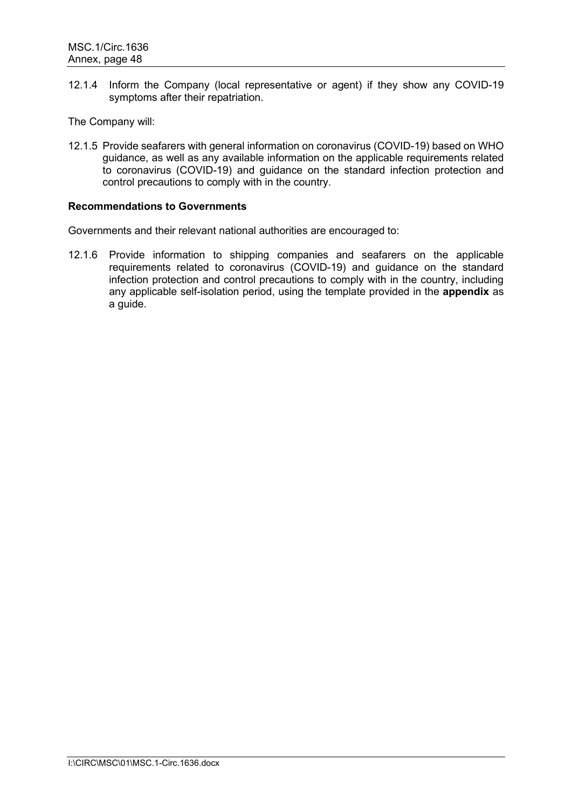12.1.4 Inform the Company (local representative or agent) if they show any COVID-19 symptoms after their repatriation.

The Company will:

12.1.5 Provide seafarers with general information on coronavirus (COVID-19) based on WHO guidance, as well as any available information on the applicable requirements related to coronavirus (COVID-19) and guidance on the standard infection protection and control precautions to comply with in the country.

### **Recommendations to Governments**

Governments and their relevant national authorities are encouraged to:

12.1.6 Provide information to shipping companies and seafarers on the applicable requirements related to coronavirus (COVID-19) and guidance on the standard infection protection and control precautions to comply with in the country, including any applicable self-isolation period, using the template provided in the **appendix** as a guide.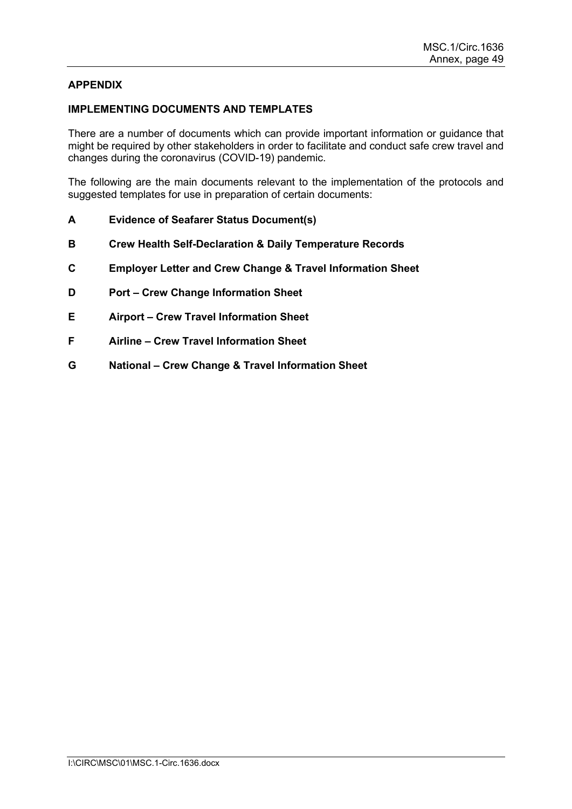### **APPENDIX**

### **IMPLEMENTING DOCUMENTS AND TEMPLATES**

There are a number of documents which can provide important information or guidance that might be required by other stakeholders in order to facilitate and conduct safe crew travel and changes during the coronavirus (COVID-19) pandemic.

The following are the main documents relevant to the implementation of the protocols and suggested templates for use in preparation of certain documents:

- **A Evidence of Seafarer Status Document(s)**
- **B Crew Health Self-Declaration & Daily Temperature Records**
- **C Employer Letter and Crew Change & Travel Information Sheet**
- **D Port – Crew Change Information Sheet**
- **E Airport – Crew Travel Information Sheet**
- **F Airline – Crew Travel Information Sheet**
- **G National – Crew Change & Travel Information Sheet**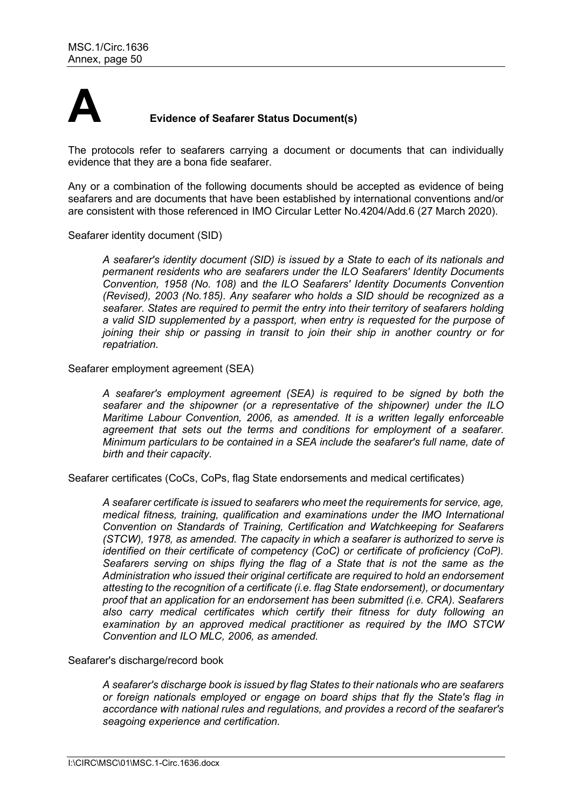

### **A Evidence of Seafarer Status Document(s)**

The protocols refer to seafarers carrying a document or documents that can individually evidence that they are a bona fide seafarer.

Any or a combination of the following documents should be accepted as evidence of being seafarers and are documents that have been established by international conventions and/or are consistent with those referenced in IMO Circular Letter No.4204/Add.6 (27 March 2020).

Seafarer identity document (SID)

*A seafarer's identity document (SID) is issued by a State to each of its nationals and permanent residents who are seafarers under the ILO Seafarers' Identity Documents Convention, 1958 (No. 108)* and *the ILO Seafarers' Identity Documents Convention (Revised), 2003 (No.185). Any seafarer who holds a SID should be recognized as a seafarer. States are required to permit the entry into their territory of seafarers holding a valid SID supplemented by a passport, when entry is requested for the purpose of joining their ship or passing in transit to join their ship in another country or for repatriation.*

Seafarer employment agreement (SEA)

*A seafarer's employment agreement (SEA) is required to be signed by both the seafarer and the shipowner (or a representative of the shipowner) under the ILO Maritime Labour Convention, 2006, as amended. It is a written legally enforceable agreement that sets out the terms and conditions for employment of a seafarer. Minimum particulars to be contained in a SEA include the seafarer's full name, date of birth and their capacity.*

Seafarer certificates (CoCs, CoPs, flag State endorsements and medical certificates)

*A seafarer certificate is issued to seafarers who meet the requirements for service, age, medical fitness, training, qualification and examinations under the IMO International Convention on Standards of Training, Certification and Watchkeeping for Seafarers (STCW), 1978, as amended. The capacity in which a seafarer is authorized to serve is identified on their certificate of competency (CoC) or certificate of proficiency (CoP). Seafarers serving on ships flying the flag of a State that is not the same as the Administration who issued their original certificate are required to hold an endorsement attesting to the recognition of a certificate (i.e. flag State endorsement), or documentary proof that an application for an endorsement has been submitted (i.e. CRA). Seafarers also carry medical certificates which certify their fitness for duty following an examination by an approved medical practitioner as required by the IMO STCW Convention and ILO MLC, 2006, as amended.*

### Seafarer's discharge/record book

*A seafarer's discharge book is issued by flag States to their nationals who are seafarers or foreign nationals employed or engage on board ships that fly the State's flag in accordance with national rules and regulations, and provides a record of the seafarer's seagoing experience and certification.*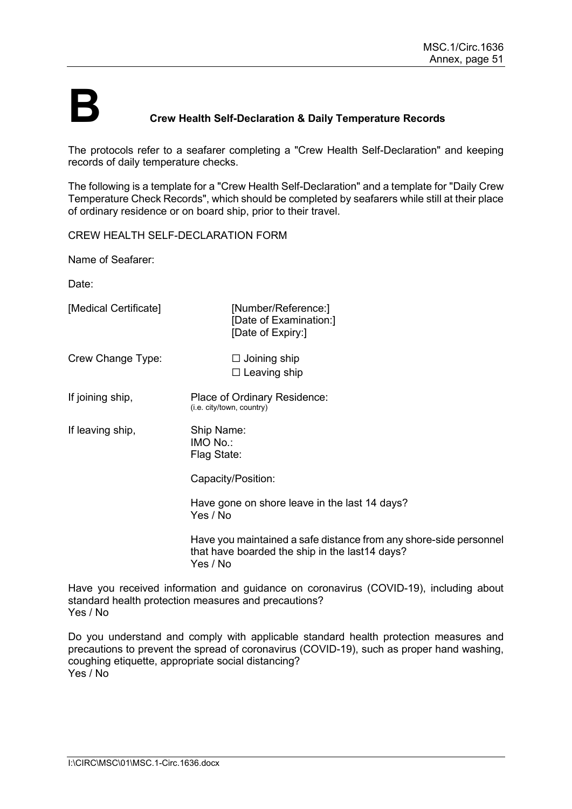### **B Crew Health Self-Declaration & Daily Temperature Records**

The protocols refer to a seafarer completing a "Crew Health Self-Declaration" and keeping records of daily temperature checks.

The following is a template for a "Crew Health Self-Declaration" and a template for "Daily Crew Temperature Check Records", which should be completed by seafarers while still at their place of ordinary residence or on board ship, prior to their travel.

CREW HEALTH SELF-DECLARATION FORM

Name of Seafarer:

Date:

[Medical Certificate] [Number/Reference:] [Date of Examination:] [Date of Expiry:] Crew Change Type: □ Joining ship □ Leaving ship If joining ship, Place of Ordinary Residence: (i.e. city/town, country) If leaving ship, Ship Name: IMO No.: Flag State: Capacity/Position: Have gone on shore leave in the last 14 days? Yes / No

Have you maintained a safe distance from any shore-side personnel that have boarded the ship in the last14 days? Yes / No

Have you received information and guidance on coronavirus (COVID-19), including about standard health protection measures and precautions? Yes / No

Do you understand and comply with applicable standard health protection measures and precautions to prevent the spread of coronavirus (COVID-19), such as proper hand washing, coughing etiquette, appropriate social distancing? Yes / No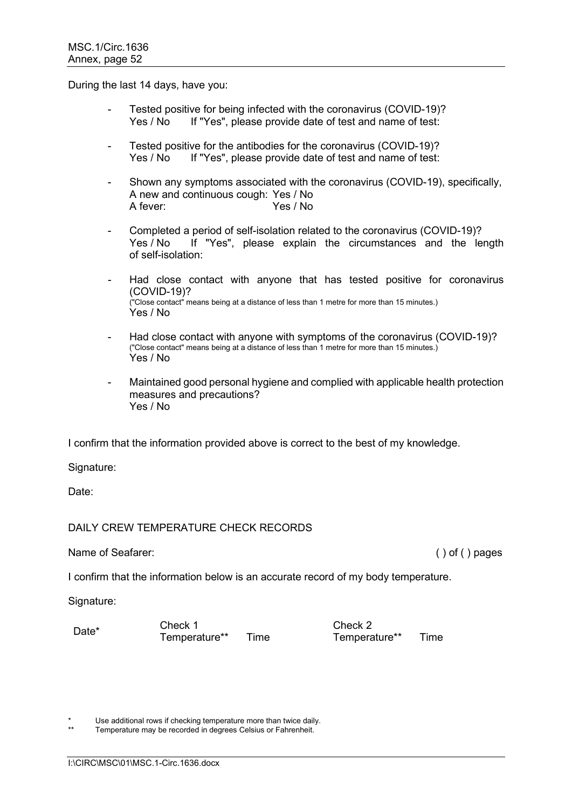During the last 14 days, have you:

- Tested positive for being infected with the coronavirus (COVID-19)? Yes / No If "Yes", please provide date of test and name of test:
- Tested positive for the antibodies for the coronavirus (COVID-19)?<br>Yes / No lit "Yes", please provide date of test and name of test: If "Yes", please provide date of test and name of test:
- Shown any symptoms associated with the coronavirus (COVID-19), specifically, A new and continuous cough: Yes / No Yes / No
- Completed a period of self-isolation related to the coronavirus (COVID-19)? Yes / No If "Yes", please explain the circumstances and the length of self-isolation:
- Had close contact with anyone that has tested positive for coronavirus (COVID-19)? ("Close contact" means being at a distance of less than 1 metre for more than 15 minutes.) Yes / No
- Had close contact with anyone with symptoms of the coronavirus (COVID-19)? ("Close contact" means being at a distance of less than 1 metre for more than 15 minutes.) Yes / No
- Maintained good personal hygiene and complied with applicable health protection measures and precautions? Yes / No

I confirm that the information provided above is correct to the best of my knowledge.

Signature:

Date:

### DAILY CREW TEMPERATURE CHECK RECORDS

Name of Seafarer: ( ) of ( ) pages

I confirm that the information below is an accurate record of my body temperature.

Signature:

Date\* Check 1 Check 2 Temperature\*\* Time Temperature\*\* Time

Use additional rows if checking temperature more than twice daily.

Temperature may be recorded in degrees Celsius or Fahrenheit.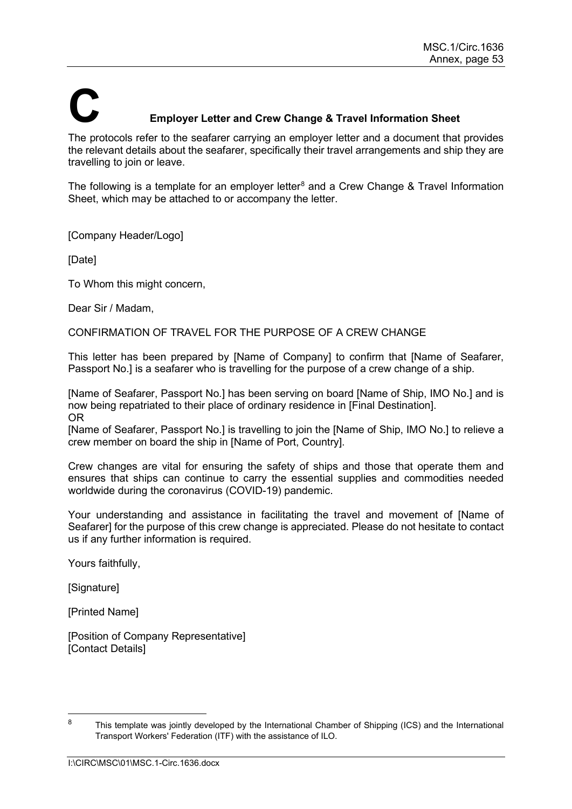# **C Employer Letter and Crew Change & Travel Information Sheet**

The protocols refer to the seafarer carrying an employer letter and a document that provides the relevant details about the seafarer, specifically their travel arrangements and ship they are travelling to join or leave.

The following is a template for an employer letter<sup>[8](#page-54-0)</sup> and a Crew Change & Travel Information Sheet, which may be attached to or accompany the letter.

[Company Header/Logo]

[Date]

To Whom this might concern,

Dear Sir / Madam,

CONFIRMATION OF TRAVEL FOR THE PURPOSE OF A CREW CHANGE

This letter has been prepared by [Name of Company] to confirm that [Name of Seafarer, Passport No.] is a seafarer who is travelling for the purpose of a crew change of a ship.

[Name of Seafarer, Passport No.] has been serving on board [Name of Ship, IMO No.] and is now being repatriated to their place of ordinary residence in [Final Destination]. OR

[Name of Seafarer, Passport No.] is travelling to join the [Name of Ship, IMO No.] to relieve a crew member on board the ship in [Name of Port, Country].

Crew changes are vital for ensuring the safety of ships and those that operate them and ensures that ships can continue to carry the essential supplies and commodities needed worldwide during the coronavirus (COVID-19) pandemic.

Your understanding and assistance in facilitating the travel and movement of [Name of Seafarer] for the purpose of this crew change is appreciated. Please do not hesitate to contact us if any further information is required.

Yours faithfully,

[Signature]

[Printed Name]

[Position of Company Representative] [Contact Details]

<span id="page-54-0"></span><sup>&</sup>lt;sup>8</sup> This template was jointly developed by the International Chamber of Shipping (ICS) and the International Transport Workers' Federation (ITF) with the assistance of ILO.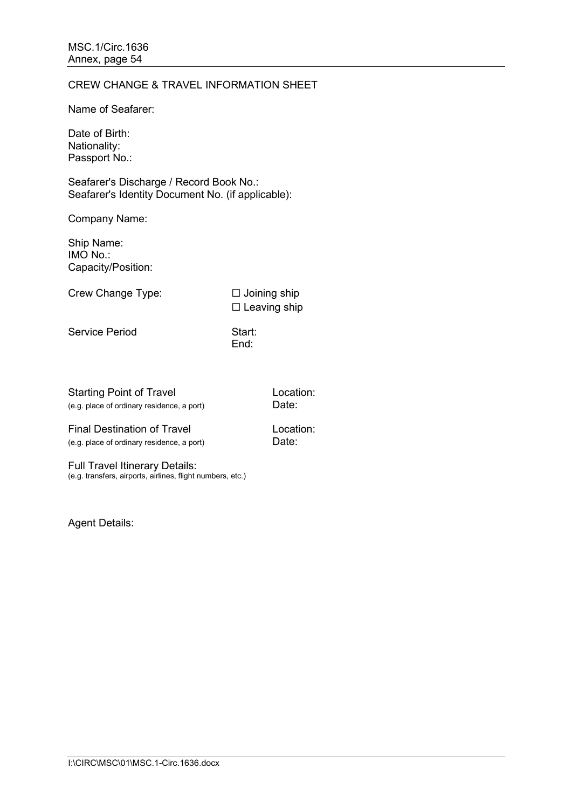### CREW CHANGE & TRAVEL INFORMATION SHEET

Name of Seafarer:

Date of Birth: Nationality: Passport No.:

Seafarer's Discharge / Record Book No.: Seafarer's Identity Document No. (if applicable):

Company Name:

Ship Name: IMO No.: Capacity/Position:

Crew Change Type: □ Joining ship

□ Leaving ship

Service Period Start:

End:

Starting Point of Travel **Location:** (e.g. place of ordinary residence, a port) Date:

Final Destination of Travel **Location:** (e.g. place of ordinary residence, a port) Date:

Full Travel Itinerary Details: (e.g. transfers, airports, airlines, flight numbers, etc.)

Agent Details: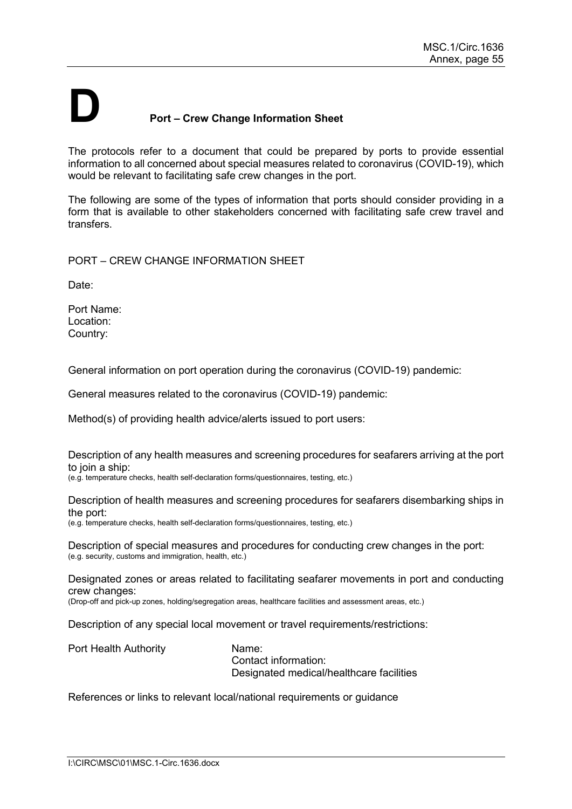## **D Port – Crew Change Information Sheet**

The protocols refer to a document that could be prepared by ports to provide essential information to all concerned about special measures related to coronavirus (COVID-19), which would be relevant to facilitating safe crew changes in the port.

The following are some of the types of information that ports should consider providing in a form that is available to other stakeholders concerned with facilitating safe crew travel and transfers.

PORT – CREW CHANGE INFORMATION SHEET

Date:

Port Name: Location: Country:

General information on port operation during the coronavirus (COVID-19) pandemic:

General measures related to the coronavirus (COVID-19) pandemic:

Method(s) of providing health advice/alerts issued to port users:

Description of any health measures and screening procedures for seafarers arriving at the port to join a ship:

(e.g. temperature checks, health self-declaration forms/questionnaires, testing, etc.)

Description of health measures and screening procedures for seafarers disembarking ships in the port:

(e.g. temperature checks, health self-declaration forms/questionnaires, testing, etc.)

Description of special measures and procedures for conducting crew changes in the port: (e.g. security, customs and immigration, health, etc.)

Designated zones or areas related to facilitating seafarer movements in port and conducting crew changes:

(Drop-off and pick-up zones, holding/segregation areas, healthcare facilities and assessment areas, etc.)

Description of any special local movement or travel requirements/restrictions:

Port Health Authority **Name:** Contact information: Designated medical/healthcare facilities

References or links to relevant local/national requirements or guidance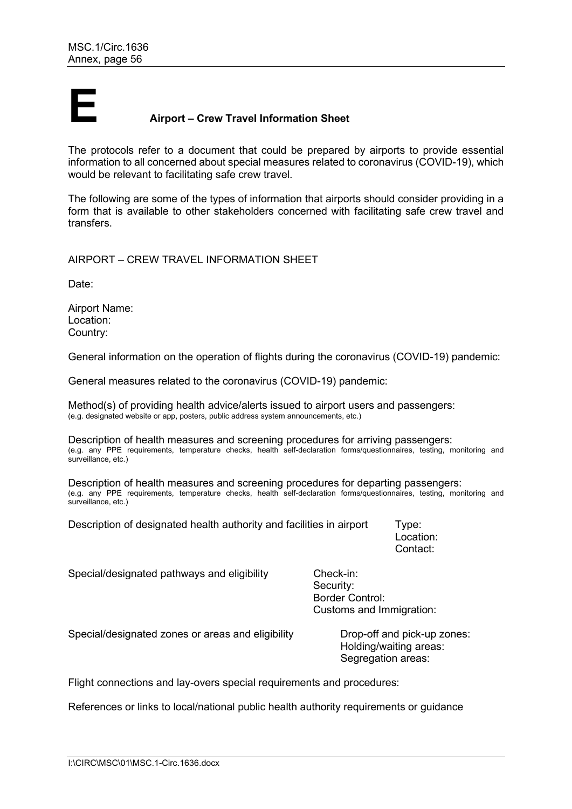

### **E Airport – Crew Travel Information Sheet**

The protocols refer to a document that could be prepared by airports to provide essential information to all concerned about special measures related to coronavirus (COVID-19), which would be relevant to facilitating safe crew travel.

The following are some of the types of information that airports should consider providing in a form that is available to other stakeholders concerned with facilitating safe crew travel and transfers.

AIRPORT – CREW TRAVEL INFORMATION SHEET

Date:

Airport Name: Location: Country:

General information on the operation of flights during the coronavirus (COVID-19) pandemic:

General measures related to the coronavirus (COVID-19) pandemic:

Method(s) of providing health advice/alerts issued to airport users and passengers: (e.g. designated website or app, posters, public address system announcements, etc.)

Description of health measures and screening procedures for arriving passengers: (e.g. any PPE requirements, temperature checks, health self-declaration forms/questionnaires, testing, monitoring and surveillance, etc.)

Description of health measures and screening procedures for departing passengers: (e.g. any PPE requirements, temperature checks, health self-declaration forms/questionnaires, testing, monitoring and surveillance, etc.)

Description of designated health authority and facilities in airport Type:

Location: Contact:

Segregation areas:

| Special/designated pathways and eligibility       | Check-in:<br>Security:<br><b>Border Control:</b><br>Customs and Immigration: |
|---------------------------------------------------|------------------------------------------------------------------------------|
| Special/designated zones or areas and eligibility | Drop-off and pick-up zones:<br>Holding/waiting areas:                        |

Flight connections and lay-overs special requirements and procedures:

References or links to local/national public health authority requirements or guidance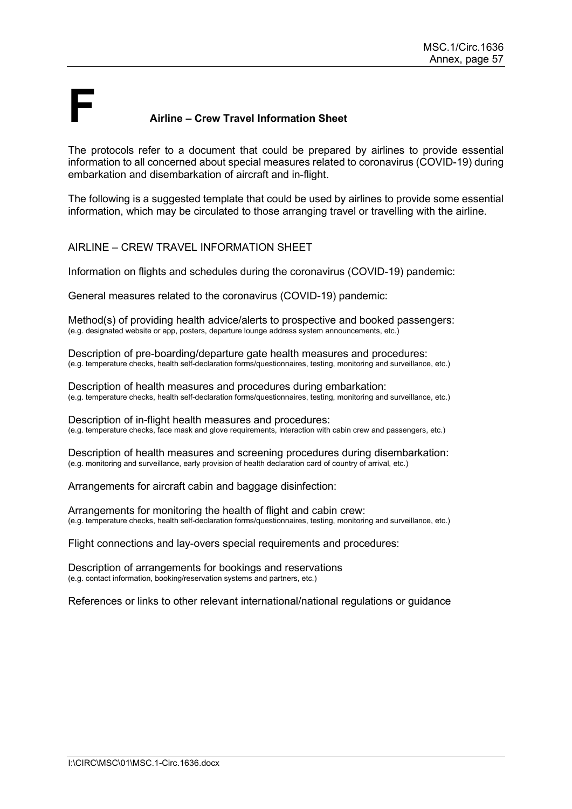### **F Airline – Crew Travel Information Sheet**

The protocols refer to a document that could be prepared by airlines to provide essential information to all concerned about special measures related to coronavirus (COVID-19) during embarkation and disembarkation of aircraft and in-flight.

The following is a suggested template that could be used by airlines to provide some essential information, which may be circulated to those arranging travel or travelling with the airline.

### AIRLINE – CREW TRAVEL INFORMATION SHEET

Information on flights and schedules during the coronavirus (COVID-19) pandemic:

General measures related to the coronavirus (COVID-19) pandemic:

Method(s) of providing health advice/alerts to prospective and booked passengers: (e.g. designated website or app, posters, departure lounge address system announcements, etc.)

Description of pre-boarding/departure gate health measures and procedures: (e.g. temperature checks, health self-declaration forms/questionnaires, testing, monitoring and surveillance, etc.)

Description of health measures and procedures during embarkation: (e.g. temperature checks, health self-declaration forms/questionnaires, testing, monitoring and surveillance, etc.)

Description of in-flight health measures and procedures: (e.g. temperature checks, face mask and glove requirements, interaction with cabin crew and passengers, etc.)

Description of health measures and screening procedures during disembarkation: (e.g. monitoring and surveillance, early provision of health declaration card of country of arrival, etc.)

Arrangements for aircraft cabin and baggage disinfection:

Arrangements for monitoring the health of flight and cabin crew: (e.g. temperature checks, health self-declaration forms/questionnaires, testing, monitoring and surveillance, etc.)

Flight connections and lay-overs special requirements and procedures:

Description of arrangements for bookings and reservations (e.g. contact information, booking/reservation systems and partners, etc.)

References or links to other relevant international/national regulations or guidance